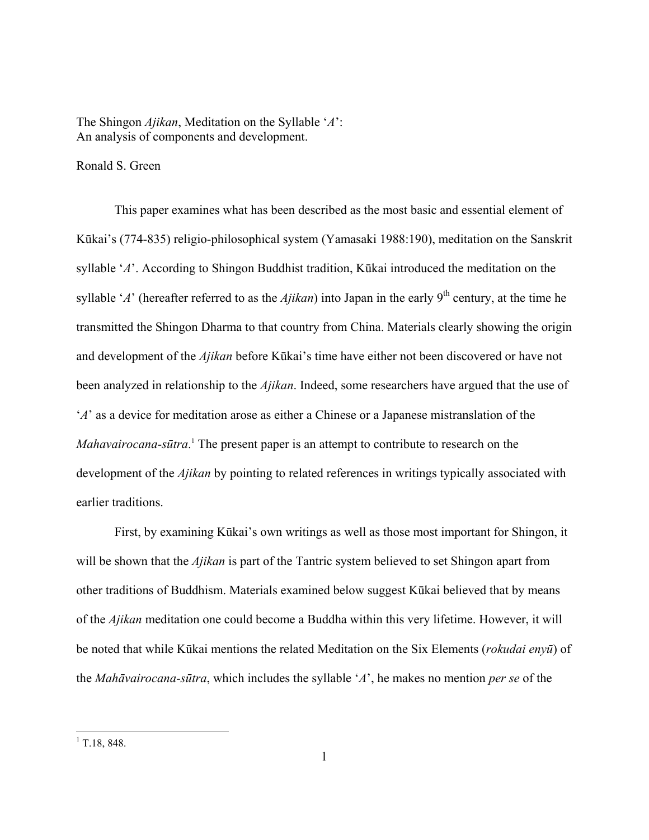The Shingon *Ajikan*, Meditation on the Syllable '*A*': An analysis of components and development.

Ronald S. Green

This paper examines what has been described as the most basic and essential element of Kūkai's (774-835) religio-philosophical system (Yamasaki 1988:190), meditation on the Sanskrit syllable '*A*'. According to Shingon Buddhist tradition, Kūkai introduced the meditation on the syllable '*A*' (hereafter referred to as the *Ajikan*) into Japan in the early 9<sup>th</sup> century, at the time he transmitted the Shingon Dharma to that country from China. Materials clearly showing the origin and development of the *Ajikan* before Kūkai's time have either not been discovered or have not been analyzed in relationship to the *Ajikan*. Indeed, some researchers have argued that the use of '*A*' as a device for meditation arose as either a Chinese or a Japanese mistranslation of the *Mahavairocana-sūtra*. [1](#page-0-0) The present paper is an attempt to contribute to research on the development of the *Ajikan* by pointing to related references in writings typically associated with earlier traditions.

First, by examining Kūkai's own writings as well as those most important for Shingon, it will be shown that the *Ajikan* is part of the Tantric system believed to set Shingon apart from other traditions of Buddhism. Materials examined below suggest Kūkai believed that by means of the *Ajikan* meditation one could become a Buddha within this very lifetime. However, it will be noted that while Kūkai mentions the related Meditation on the Six Elements (*rokudai enyū*) of the *Mahāvairocana-sūtra*, which includes the syllable '*A*', he makes no mention *per se* of the

<span id="page-0-0"></span> $\frac{1}{1}$  T.18, 848.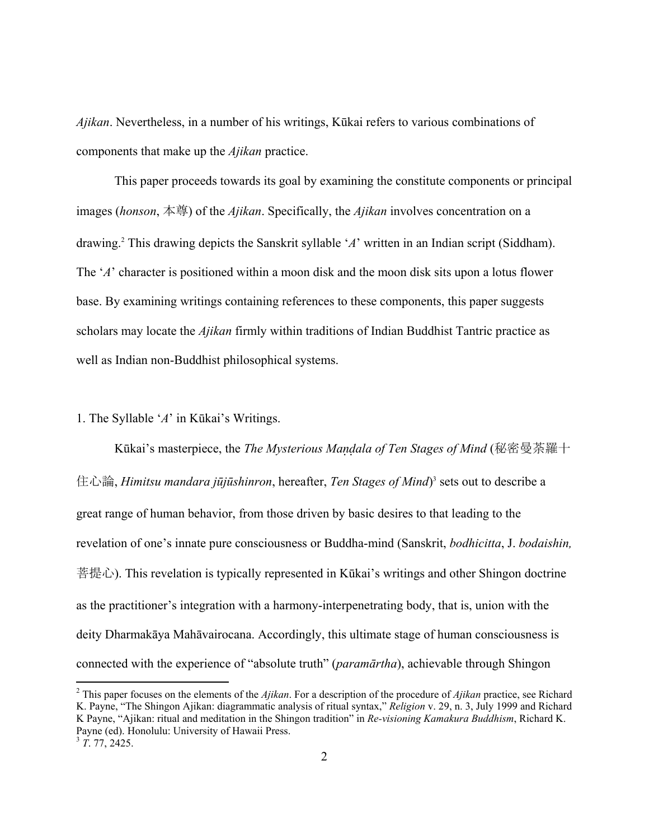*Ajikan*. Nevertheless, in a number of his writings, Kūkai refers to various combinations of components that make up the *Ajikan* practice.

This paper proceeds towards its goal by examining the constitute components or principal images (*honson*, 本尊) of the *Ajikan*. Specifically, the *Ajikan* involves concentration on a drawing.[2](#page-1-0) This drawing depicts the Sanskrit syllable '*A*' written in an Indian script (Siddham). The '*A*' character is positioned within a moon disk and the moon disk sits upon a lotus flower base. By examining writings containing references to these components, this paper suggests scholars may locate the *Ajikan* firmly within traditions of Indian Buddhist Tantric practice as well as Indian non-Buddhist philosophical systems.

# 1. The Syllable '*A*' in Kūkai's Writings.

 $\overline{a}$ 

Kūkai's masterpiece, the *The Mysterious Maala of Ten Stages of Mind* (秘密曼荼羅十 住心論, *Himitsu mandara jūjūshinron*, hereafter, *Ten Stages of Mind*) [3](#page-1-1) sets out to describe a great range of human behavior, from those driven by basic desires to that leading to the revelation of one's innate pure consciousness or Buddha-mind (Sanskrit, *bodhicitta*, J. *bodaishin,*  菩提心). This revelation is typically represented in Kūkai's writings and other Shingon doctrine as the practitioner's integration with a harmony-interpenetrating body, that is, union with the deity Dharmakāya Mahāvairocana. Accordingly, this ultimate stage of human consciousness is connected with the experience of "absolute truth" (*paramārtha*), achievable through Shingon

<span id="page-1-1"></span><span id="page-1-0"></span><sup>2</sup> This paper focuses on the elements of the *Ajikan*. For a description of the procedure of *Ajikan* practice, see Richard K. Payne, "The Shingon Ajikan: diagrammatic analysis of ritual syntax," *Religion* v. 29, n. 3, July 1999 and Richard K Payne, "Ajikan: ritual and meditation in the Shingon tradition" in *Re-visioning Kamakura Buddhism*, Richard K. Payne (ed). Honolulu: University of Hawaii Press. <sup>3</sup> *T*. 77, 2425.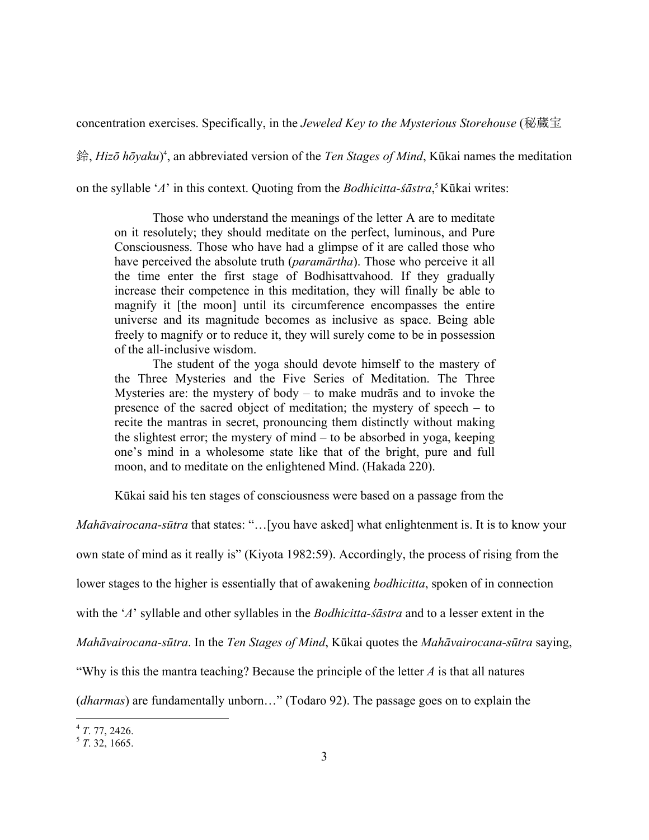concentration exercises. Specifically, in the *Jeweled Key to the Mysterious Storehouse* (秘蔵宝

鈴, *Hizō hōyaku*) [4](#page-2-0) , an abbreviated version of the *Ten Stages of Mind*, Kūkai names the meditation

on the syllable '*A*' in this context. Quoting from the *Bodhicitta-śāstra*, [5](#page-2-1) Kūkai writes:

Those who understand the meanings of the letter A are to meditate on it resolutely; they should meditate on the perfect, luminous, and Pure Consciousness. Those who have had a glimpse of it are called those who have perceived the absolute truth (*paramārtha*). Those who perceive it all the time enter the first stage of Bodhisattvahood. If they gradually increase their competence in this meditation, they will finally be able to magnify it [the moon] until its circumference encompasses the entire universe and its magnitude becomes as inclusive as space. Being able freely to magnify or to reduce it, they will surely come to be in possession of the all-inclusive wisdom.

The student of the yoga should devote himself to the mastery of the Three Mysteries and the Five Series of Meditation. The Three Mysteries are: the mystery of body – to make mudrās and to invoke the presence of the sacred object of meditation; the mystery of speech – to recite the mantras in secret, pronouncing them distinctly without making the slightest error; the mystery of mind – to be absorbed in yoga, keeping one's mind in a wholesome state like that of the bright, pure and full moon, and to meditate on the enlightened Mind. (Hakada 220).

Kūkai said his ten stages of consciousness were based on a passage from the

*Mahāvairocana-sūtra* that states: "…[you have asked] what enlightenment is. It is to know your

own state of mind as it really is" (Kiyota 1982:59). Accordingly, the process of rising from the

lower stages to the higher is essentially that of awakening *bodhicitta*, spoken of in connection

with the '*A*' syllable and other syllables in the *Bodhicitta-śāstra* and to a lesser extent in the

*Mahāvairocana-sūtra*. In the *Ten Stages of Mind*, Kūkai quotes the *Mahāvairocana-sūtra* saying,

"Why is this the mantra teaching? Because the principle of the letter *A* is that all natures

(*dharmas*) are fundamentally unborn…" (Todaro 92). The passage goes on to explain the

 $\overline{a}$ 

<span id="page-2-1"></span><span id="page-2-0"></span><sup>4</sup> *<sup>T</sup>*. 77, 2426. 5 *<sup>T</sup>*. 32, 1665.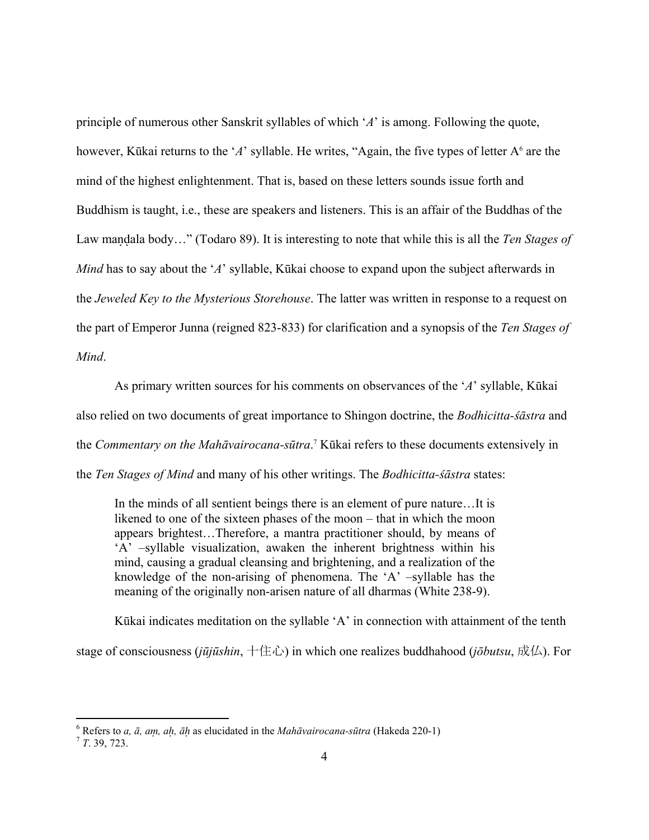principle of numerous other Sanskrit syllables of which '*A*' is among. Following the quote, however, Kūkai returns to the 'A' syllable. He writes, "Again, the five types of letter A<sup>6</sup> are the mind of the highest enlightenment. That is, based on these letters sounds issue forth and Buddhism is taught, i.e., these are speakers and listeners. This is an affair of the Buddhas of the Law mandala body..." (Todaro 89). It is interesting to note that while this is all the *Ten Stages of Mind* has to say about the '*A*' syllable, Kūkai choose to expand upon the subject afterwards in the *Jeweled Key to the Mysterious Storehouse*. The latter was written in response to a request on the part of Emperor Junna (reigned 823-833) for clarification and a synopsis of the *Ten Stages of Mind*.

As primary written sources for his comments on observances of the '*A*' syllable, Kūkai also relied on two documents of great importance to Shingon doctrine, the *Bodhicitta-śāstra* and the *Commentary on the Mahāvairocana-sūtra*. [7](#page-3-1) Kūkai refers to these documents extensively in the *Ten Stages of Mind* and many of his other writings. The *Bodhicitta-śāstra* states:

In the minds of all sentient beings there is an element of pure nature…It is likened to one of the sixteen phases of the moon – that in which the moon appears brightest…Therefore, a mantra practitioner should, by means of 'A' –syllable visualization, awaken the inherent brightness within his mind, causing a gradual cleansing and brightening, and a realization of the knowledge of the non-arising of phenomena. The 'A' –syllable has the meaning of the originally non-arisen nature of all dharmas (White 238-9).

 Kūkai indicates meditation on the syllable 'A' in connection with attainment of the tenth stage of consciousness (*jūjūshin*, 十住心) in which one realizes buddhahood (*jōbutsu*, 成仏). For

<u>.</u>

<span id="page-3-0"></span><sup>6</sup> Refers to *a, ā, a, a, ā* as elucidated in the *Mahāvairocana-sūtra* (Hakeda 220-1) 7 *<sup>T</sup>*. 39, 723.

<span id="page-3-1"></span>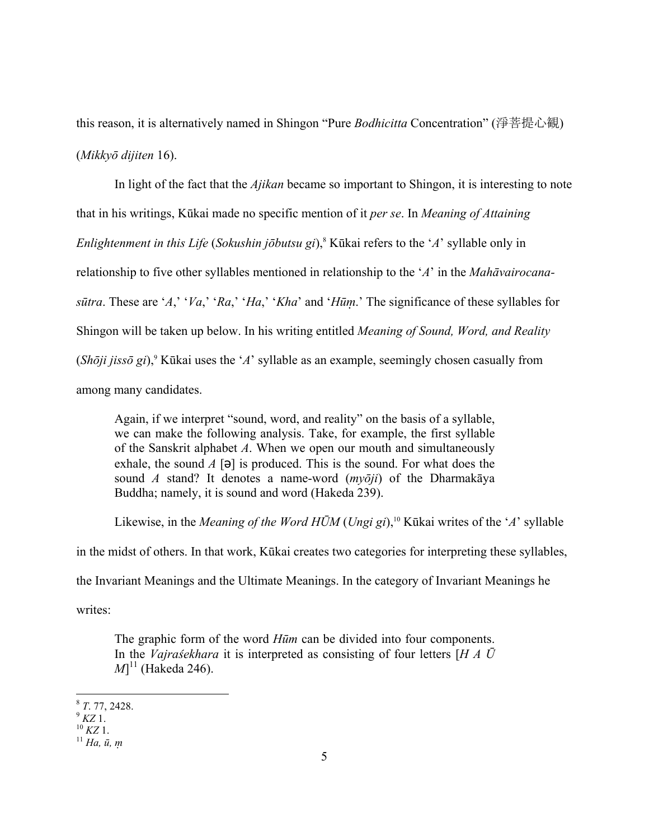this reason, it is alternatively named in Shingon "Pure *Bodhicitta* Concentration" (淨菩提心観) (*Mikkyō dijiten* 16).

 In light of the fact that the *Ajikan* became so important to Shingon, it is interesting to note that in his writings, Kūkai made no specific mention of it *per se*. In *Meaning of Attaining Enlightenment in this Life* (*Sokushin jōbutsu gi*)[,8](#page-4-0) Kūkai refers to the '*A*' syllable only in relationship to five other syllables mentioned in relationship to the '*A*' in the *Mahāvairocanasūtra*. These are '*A*,' '*Va*,' '*Ra*,' '*Ha*,' '*Kha*' and '*Hū*.' The significance of these syllables for Shingon will be taken up below. In his writing entitled *Meaning of Sound, Word, and Reality*   $(Sh\bar{o}ji\ jiss\bar{o}gi)$ ,<sup>9</sup> Kūkai uses the '*A*' syllable as an example, seemingly chosen casually from among many candidates.

Again, if we interpret "sound, word, and reality" on the basis of a syllable, we can make the following analysis. Take, for example, the first syllable of the Sanskrit alphabet *A*. When we open our mouth and simultaneously exhale, the sound *A* [**ə**] is produced. This is the sound. For what does the sound *A* stand? It denotes a name-word (*myōji*) of the Dharmakāya Buddha; namely, it is sound and word (Hakeda 239).

Likewise, in the *Meaning of the Word HŪM* (*Ungi gi*),<sup>10</sup> Kūkai writes of the '*A*' syllable in the midst of others. In that work, Kūkai creates two categories for interpreting these syllables, the Invariant Meanings and the Ultimate Meanings. In the category of Invariant Meanings he writes:

The graphic form of the word *Hūm* can be divided into four components. In the *Vajraśekhara* it is interpreted as consisting of four letters [*H A Ū*  $M$ <sup>11</sup> (Hakeda 246).

1

<span id="page-4-0"></span><sup>8</sup> *<sup>T</sup>*. 77, 2428. 9 *KZ* 1. 10 *KZ* 1. 11 *Ha, ū,* 

<span id="page-4-1"></span>

<span id="page-4-2"></span>

<span id="page-4-3"></span>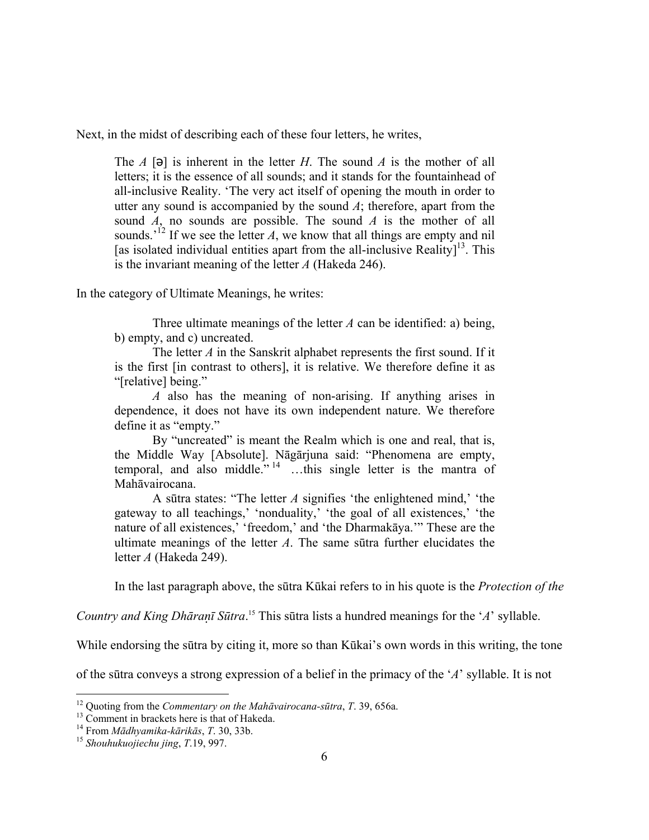Next, in the midst of describing each of these four letters, he writes,

The *A* [ə] is inherent in the letter *H*. The sound *A* is the mother of all letters; it is the essence of all sounds; and it stands for the fountainhead of all-inclusive Reality. 'The very act itself of opening the mouth in order to utter any sound is accompanied by the sound *A*; therefore, apart from the sound *A*, no sounds are possible. The sound *A* is the mother of all sounds.<sup> $12$ </sup> If we see the letter *A*, we know that all things are empty and nil [as isolated individual entities apart from the all-inclusive Reality]<sup>13</sup>. This is the invariant meaning of the letter *A* (Hakeda 246).

In the category of Ultimate Meanings, he writes:

Three ultimate meanings of the letter *A* can be identified: a) being, b) empty, and c) uncreated.

The letter *A* in the Sanskrit alphabet represents the first sound. If it is the first [in contrast to others], it is relative. We therefore define it as "[relative] being."

*A* also has the meaning of non-arising. If anything arises in dependence, it does not have its own independent nature. We therefore define it as "empty."

By "uncreated" is meant the Realm which is one and real, that is, the Middle Way [Absolute]. Nāgārjuna said: "Phenomena are empty, temporal, and also middle."  $14$  ...this single letter is the mantra of Mahāvairocana.

A sūtra states: "The letter *A* signifies 'the enlightened mind,' 'the gateway to all teachings,' 'nonduality,' 'the goal of all existences,' 'the nature of all existences,' 'freedom,' and 'the Dharmakāya.'" These are the ultimate meanings of the letter *A*. The same sūtra further elucidates the letter *A* (Hakeda 249).

In the last paragraph above, the sūtra Kūkai refers to in his quote is the *Protection of the* 

*Country and King Dhāraī Sūtra*. [15](#page-5-3) This sūtra lists a hundred meanings for the '*A*' syllable.

While endorsing the sūtra by citing it, more so than Kūkai's own words in this writing, the tone

of the sūtra conveys a strong expression of a belief in the primacy of the '*A*' syllable. It is not

<span id="page-5-0"></span><sup>&</sup>lt;sup>12</sup> Quoting from the *Commentary on the Mahāvairocana-sūtra*, *T*. 39, 656a. <sup>13</sup> Comment in brackets here is that of Hakeda.

<span id="page-5-1"></span>

<span id="page-5-2"></span><sup>14</sup> From *Mādhyamika-kārikās*, *T*. 30, 33b. 15 *Shouhukuojiechu jing*, *T*.19, 997.

<span id="page-5-3"></span>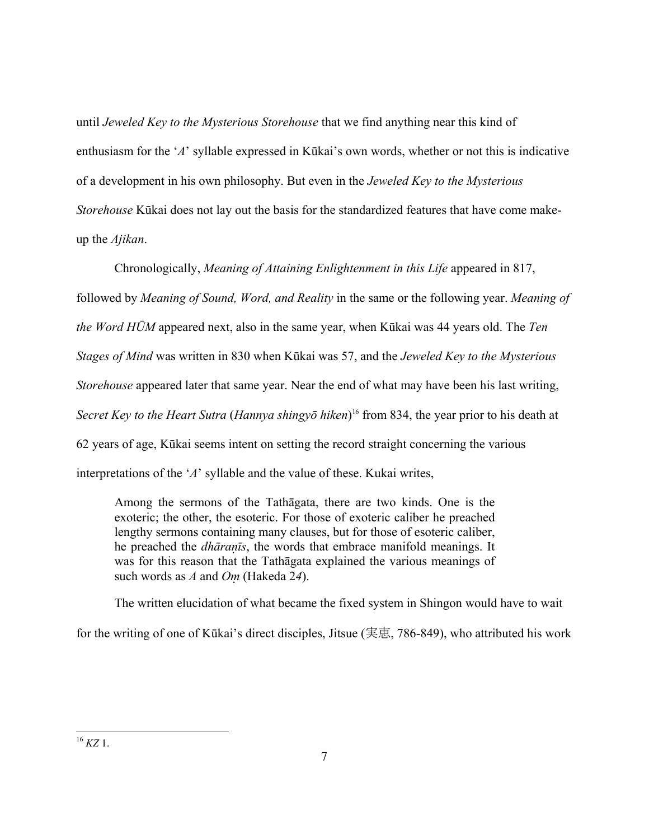until *Jeweled Key to the Mysterious Storehouse* that we find anything near this kind of enthusiasm for the '*A*' syllable expressed in Kūkai's own words, whether or not this is indicative of a development in his own philosophy. But even in the *Jeweled Key to the Mysterious Storehouse* Kūkai does not lay out the basis for the standardized features that have come makeup the *Ajikan*.

Chronologically, *Meaning of Attaining Enlightenment in this Life* appeared in 817, followed by *Meaning of Sound, Word, and Reality* in the same or the following year. *Meaning of the Word HŪM* appeared next, also in the same year, when Kūkai was 44 years old. The *Ten Stages of Mind* was written in 830 when Kūkai was 57, and the *Jeweled Key to the Mysterious Storehouse* appeared later that same year. Near the end of what may have been his last writing, *Secret Key to the Heart Sutra* (*Hannya shingyō hiken*) [16](#page-6-0) from 834, the year prior to his death at 62 years of age, Kūkai seems intent on setting the record straight concerning the various interpretations of the '*A*' syllable and the value of these. Kukai writes,

Among the sermons of the Tathāgata, there are two kinds. One is the exoteric; the other, the esoteric. For those of exoteric caliber he preached lengthy sermons containing many clauses, but for those of esoteric caliber, he preached the *dhāraīs*, the words that embrace manifold meanings. It was for this reason that the Tathāgata explained the various meanings of such words as  $A$  and  $Om$  (Hakeda 24).

The written elucidation of what became the fixed system in Shingon would have to wait

<span id="page-6-0"></span>for the writing of one of Kūkai's direct disciples, Jitsue (実恵, 786-849), who attributed his work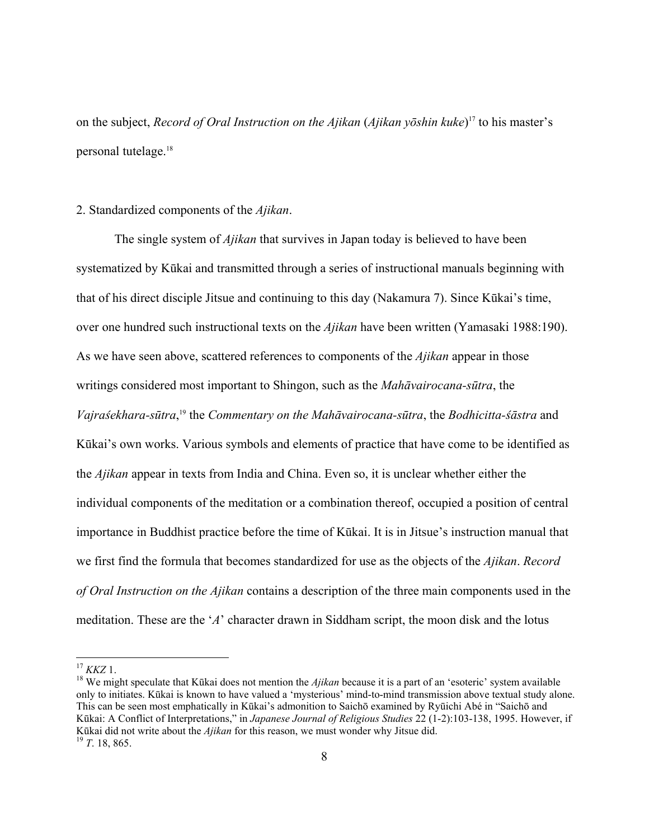on the subject, *Record of Oral Instruction on the Ajikan* (*Ajikan yōshin kuke*) [17](#page-7-0) to his master's personal tutelage.<sup>18</sup>

# 2. Standardized components of the *Ajikan*.

 The single system of *Ajikan* that survives in Japan today is believed to have been systematized by Kūkai and transmitted through a series of instructional manuals beginning with that of his direct disciple Jitsue and continuing to this day (Nakamura 7). Since Kūkai's time, over one hundred such instructional texts on the *Ajikan* have been written (Yamasaki 1988:190). As we have seen above, scattered references to components of the *Ajikan* appear in those writings considered most important to Shingon, such as the *Mahāvairocana-sūtra*, the *Vajraśekhara-sūtra*, [19](#page-7-2) the *Commentary on the Mahāvairocana-sūtra*, the *Bodhicitta-śāstra* and Kūkai's own works. Various symbols and elements of practice that have come to be identified as the *Ajikan* appear in texts from India and China. Even so, it is unclear whether either the individual components of the meditation or a combination thereof, occupied a position of central importance in Buddhist practice before the time of Kūkai. It is in Jitsue's instruction manual that we first find the formula that becomes standardized for use as the objects of the *Ajikan*. *Record of Oral Instruction on the Ajikan* contains a description of the three main components used in the meditation. These are the '*A*' character drawn in Siddham script, the moon disk and the lotus

<span id="page-7-0"></span> $17$  KKZ 1.

<span id="page-7-2"></span><span id="page-7-1"></span><sup>&</sup>lt;sup>18</sup> We might speculate that Kūkai does not mention the *Ajikan* because it is a part of an 'esoteric' system available only to initiates. Kūkai is known to have valued a 'mysterious' mind-to-mind transmission above textual study alone. This can be seen most emphatically in Kūkai's admonition to Saichō examined by Ryūichi Abé in "Saichō and Kūkai: A Conflict of Interpretations," in *Japanese Journal of Religious Studies* 22 (1-2):103-138, 1995. However, if <sup>K</sup>ūkai did not write about the *Ajikan* for this reason, we must wonder why Jitsue did. 19 *<sup>T</sup>*. 18, 865.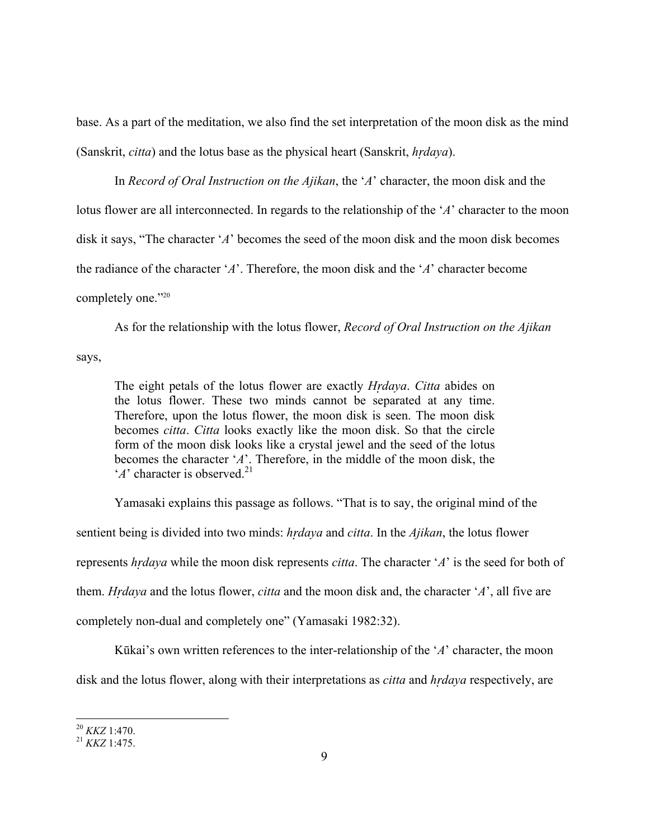base. As a part of the meditation, we also find the set interpretation of the moon disk as the mind (Sanskrit, *citta*) and the lotus base as the physical heart (Sanskrit, *hdaya*).

In *Record of Oral Instruction on the Ajikan*, the '*A*' character, the moon disk and the lotus flower are all interconnected. In regards to the relationship of the '*A*' character to the moon disk it says, "The character '*A*' becomes the seed of the moon disk and the moon disk becomes the radiance of the character '*A*'. Therefore, the moon disk and the '*A*' character become completely one."20

As for the relationship with the lotus flower, *Record of Oral Instruction on the Ajikan* 

says,

The eight petals of the lotus flower are exactly *Hdaya*. *Citta* abides on the lotus flower. These two minds cannot be separated at any time. Therefore, upon the lotus flower, the moon disk is seen. The moon disk becomes *citta*. *Citta* looks exactly like the moon disk. So that the circle form of the moon disk looks like a crystal jewel and the seed of the lotus becomes the character '*A*'. Therefore, in the middle of the moon disk, the  $'A'$  character is observed.<sup>21</sup>

Yamasaki explains this passage as follows. "That is to say, the original mind of the sentient being is divided into two minds: *hdaya* and *citta*. In the *Ajikan*, the lotus flower represents *hdaya* while the moon disk represents *citta*. The character '*A*' is the seed for both of them. *Hdaya* and the lotus flower, *citta* and the moon disk and, the character '*A*', all five are completely non-dual and completely one" (Yamasaki 1982:32).

Kūkai's own written references to the inter-relationship of the '*A*' character, the moon disk and the lotus flower, along with their interpretations as *citta* and *hdaya* respectively, are

<span id="page-8-0"></span><sup>20</sup> *KKZ* 1:470. 21 *KKZ* 1:475.

<span id="page-8-1"></span>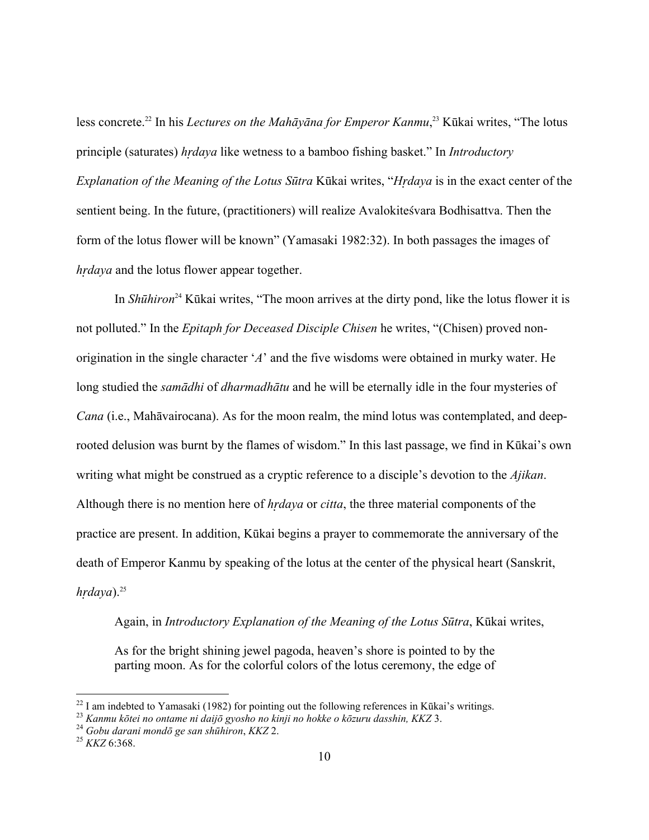less concrete.[22](#page-9-0) In his *Lectures on the Mahāyāna for Emperor Kanmu*, [23](#page-9-1) Kūkai writes, "The lotus principle (saturates) *hdaya* like wetness to a bamboo fishing basket." In *Introductory Explanation of the Meaning of the Lotus Sūtra* Kūkai writes, "*Hdaya* is in the exact center of the sentient being. In the future, (practitioners) will realize Avalokiteśvara Bodhisattva. Then the form of the lotus flower will be known" (Yamasaki 1982:32). In both passages the images of *hdaya* and the lotus flower appear together.

In *Shūhiron*[24](#page-9-2) Kūkai writes, "The moon arrives at the dirty pond, like the lotus flower it is not polluted." In the *Epitaph for Deceased Disciple Chisen* he writes, "(Chisen) proved nonorigination in the single character '*A*' and the five wisdoms were obtained in murky water. He long studied the *samādhi* of *dharmadhātu* and he will be eternally idle in the four mysteries of *Cana* (i.e., Mahāvairocana). As for the moon realm, the mind lotus was contemplated, and deeprooted delusion was burnt by the flames of wisdom." In this last passage, we find in Kūkai's own writing what might be construed as a cryptic reference to a disciple's devotion to the *Ajikan*. Although there is no mention here of *hdaya* or *citta*, the three material components of the practice are present. In addition, Kūkai begins a prayer to commemorate the anniversary of the death of Emperor Kanmu by speaking of the lotus at the center of the physical heart (Sanskrit,  $h$ *rdaya*).<sup>25</sup>

# Again, in *Introductory Explanation of the Meaning of the Lotus Sūtra*, Kūkai writes,

As for the bright shining jewel pagoda, heaven's shore is pointed to by the parting moon. As for the colorful colors of the lotus ceremony, the edge of

<span id="page-9-0"></span><sup>&</sup>lt;sup>22</sup> I am indebted to Yamasaki (1982) for pointing out the following references in Kūkai's writings.<br><sup>23</sup> Kanmu kōtei no ontame ni daijō gyosho no kinji no hokke o kōzuru dasshin, KKZ 3.<br><sup>24</sup> Gobu darani mondō ge san shūh

<span id="page-9-1"></span>

<span id="page-9-2"></span>

<span id="page-9-3"></span>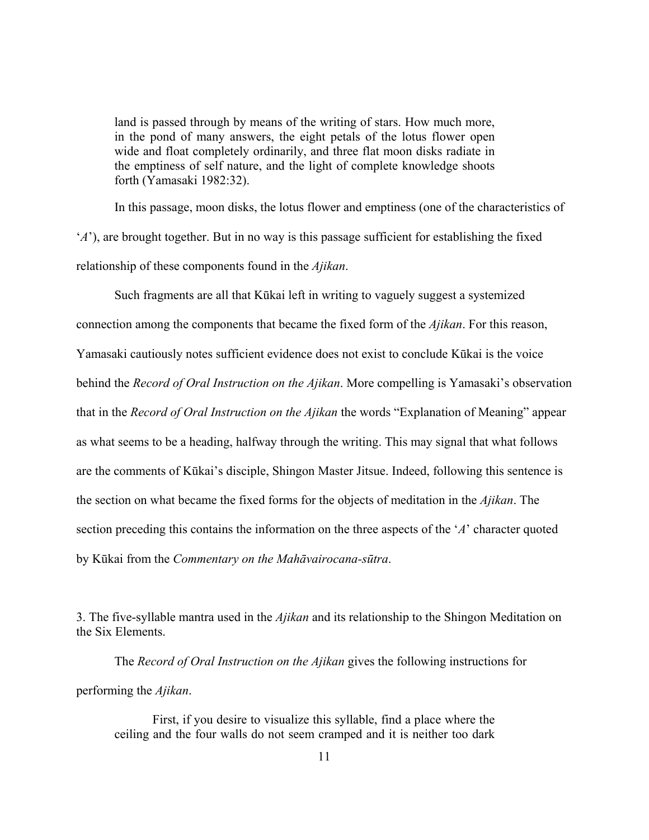land is passed through by means of the writing of stars. How much more, in the pond of many answers, the eight petals of the lotus flower open wide and float completely ordinarily, and three flat moon disks radiate in the emptiness of self nature, and the light of complete knowledge shoots forth (Yamasaki 1982:32).

In this passage, moon disks, the lotus flower and emptiness (one of the characteristics of '*A*'), are brought together. But in no way is this passage sufficient for establishing the fixed relationship of these components found in the *Ajikan*.

Such fragments are all that Kūkai left in writing to vaguely suggest a systemized connection among the components that became the fixed form of the *Ajikan*. For this reason, Yamasaki cautiously notes sufficient evidence does not exist to conclude Kūkai is the voice behind the *Record of Oral Instruction on the Ajikan*. More compelling is Yamasaki's observation that in the *Record of Oral Instruction on the Ajikan* the words "Explanation of Meaning" appear as what seems to be a heading, halfway through the writing. This may signal that what follows are the comments of Kūkai's disciple, Shingon Master Jitsue. Indeed, following this sentence is the section on what became the fixed forms for the objects of meditation in the *Ajikan*. The section preceding this contains the information on the three aspects of the '*A*' character quoted by Kūkai from the *Commentary on the Mahāvairocana-sūtra*.

3. The five-syllable mantra used in the *Ajikan* and its relationship to the Shingon Meditation on the Six Elements.

 The *Record of Oral Instruction on the Ajikan* gives the following instructions for performing the *Ajikan*.

First, if you desire to visualize this syllable, find a place where the ceiling and the four walls do not seem cramped and it is neither too dark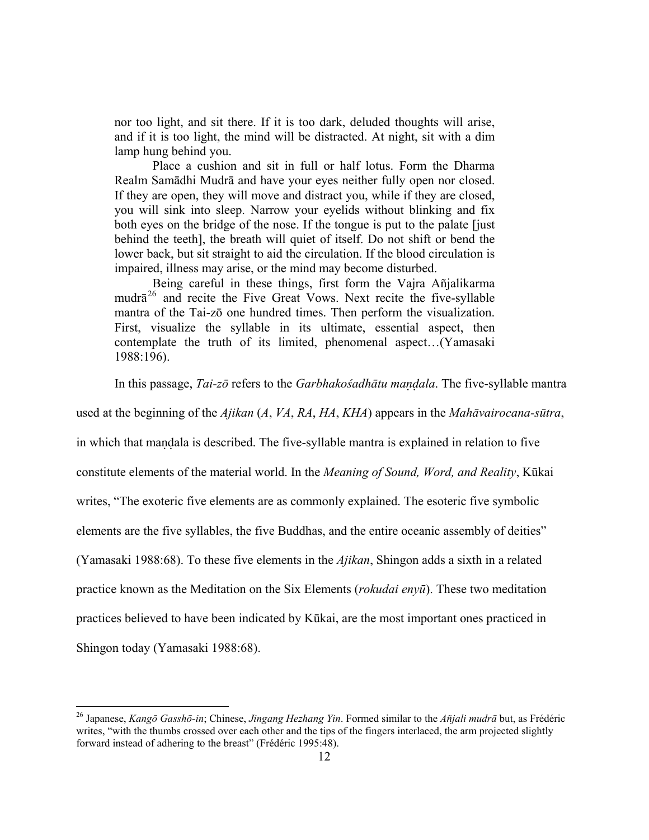nor too light, and sit there. If it is too dark, deluded thoughts will arise, and if it is too light, the mind will be distracted. At night, sit with a dim lamp hung behind you.

Place a cushion and sit in full or half lotus. Form the Dharma Realm Samādhi Mudrā and have your eyes neither fully open nor closed. If they are open, they will move and distract you, while if they are closed, you will sink into sleep. Narrow your eyelids without blinking and fix both eyes on the bridge of the nose. If the tongue is put to the palate [just behind the teeth], the breath will quiet of itself. Do not shift or bend the lower back, but sit straight to aid the circulation. If the blood circulation is impaired, illness may arise, or the mind may become disturbed.

Being careful in these things, first form the Vajra Añjalikarma mudrā<sup>26</sup> and recite the Five Great Vows. Next recite the five-syllable mantra of the Tai-zō one hundred times. Then perform the visualization. First, visualize the syllable in its ultimate, essential aspect, then contemplate the truth of its limited, phenomenal aspect…(Yamasaki 1988:196).

In this passage, *Tai-zō* refers to the *Garbhakośadhātu maala*. The five-syllable mantra

used at the beginning of the *Ajikan* (*A*, *VA*, *RA*, *HA*, *KHA*) appears in the *Mahāvairocana-sūtra*,

in which that maala is described. The five-syllable mantra is explained in relation to five

constitute elements of the material world. In the *Meaning of Sound, Word, and Reality*, Kūkai

writes, "The exoteric five elements are as commonly explained. The esoteric five symbolic

elements are the five syllables, the five Buddhas, and the entire oceanic assembly of deities"

(Yamasaki 1988:68). To these five elements in the *Ajikan*, Shingon adds a sixth in a related

practice known as the Meditation on the Six Elements (*rokudai enyū*). These two meditation

practices believed to have been indicated by Kūkai, are the most important ones practiced in

Shingon today (Yamasaki 1988:68).

<span id="page-11-0"></span><sup>&</sup>lt;sup>26</sup> Japanese, *Kangō Gasshō-in*; Chinese, *Jingang Hezhang Yin*. Formed similar to the *Añjali mudrā* but, as Frédéric writes, "with the thumbs crossed over each other and the tips of the fingers interlaced, the arm projected slightly forward instead of adhering to the breast" (Frédéric 1995:48).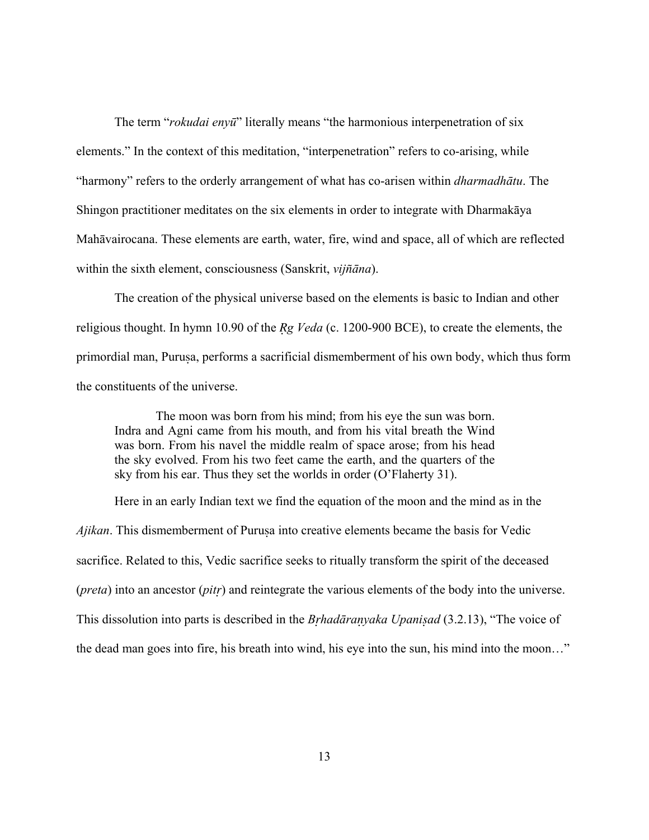The term "*rokudai enyū*" literally means "the harmonious interpenetration of six elements." In the context of this meditation, "interpenetration" refers to co-arising, while "harmony" refers to the orderly arrangement of what has co-arisen within *dharmadhātu*. The Shingon practitioner meditates on the six elements in order to integrate with Dharmakāya Mahāvairocana. These elements are earth, water, fire, wind and space, all of which are reflected within the sixth element, consciousness (Sanskrit, *vijñāna*).

The creation of the physical universe based on the elements is basic to Indian and other religious thought. In hymn 10.90 of the *Rg Veda* (c. 1200-900 BCE), to create the elements, the primordial man, Purua, performs a sacrificial dismemberment of his own body, which thus form the constituents of the universe.

 The moon was born from his mind; from his eye the sun was born. Indra and Agni came from his mouth, and from his vital breath the Wind was born. From his navel the middle realm of space arose; from his head the sky evolved. From his two feet came the earth, and the quarters of the sky from his ear. Thus they set the worlds in order (O'Flaherty 31).

Here in an early Indian text we find the equation of the moon and the mind as in the *Ajikan*. This dismemberment of Purusa into creative elements became the basis for Vedic sacrifice. Related to this, Vedic sacrifice seeks to ritually transform the spirit of the deceased (*preta*) into an ancestor (*pit*) and reintegrate the various elements of the body into the universe. This dissolution into parts is described in the *Bhadārayaka Upaniad* (3.2.13), "The voice of the dead man goes into fire, his breath into wind, his eye into the sun, his mind into the moon…"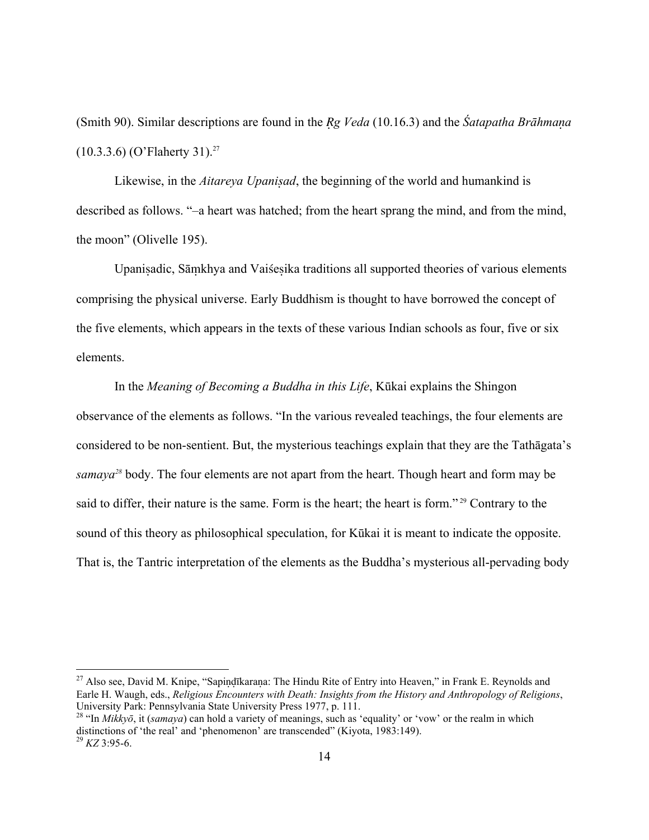(Smith 90). Similar descriptions are found in the *g Veda* (10.16.3) and the *Śatapatha Brāhmaa*  $(10.3.3.6)$  (O'Flaherty 31).<sup>27</sup>

Likewise, in the *Aitareya Upaniad*, the beginning of the world and humankind is described as follows. "–a heart was hatched; from the heart sprang the mind, and from the mind, the moon" (Olivelle 195).

Upanisadic, Sāmkhya and Vaisesika traditions all supported theories of various elements comprising the physical universe. Early Buddhism is thought to have borrowed the concept of the five elements, which appears in the texts of these various Indian schools as four, five or six elements.

In the *Meaning of Becoming a Buddha in this Life*, Kūkai explains the Shingon observance of the elements as follows. "In the various revealed teachings, the four elements are considered to be non-sentient. But, the mysterious teachings explain that they are the Tathāgata's *samaya[28](#page-13-1)* body. The four elements are not apart from the heart. Though heart and form may be said to differ, their nature is the same. Form is the heart; the heart is form."<sup>29</sup> Contrary to the sound of this theory as philosophical speculation, for Kūkai it is meant to indicate the opposite. That is, the Tantric interpretation of the elements as the Buddha's mysterious all-pervading body

<span id="page-13-0"></span><sup>&</sup>lt;sup>27</sup> Also see, David M. Knipe, "Sapindīkarana: The Hindu Rite of Entry into Heaven," in Frank E. Reynolds and Earle H. Waugh, eds., *Religious Encounters with Death: Insights from the History and Anthropology of Religions*, University Park: Pennsylvania State University Press 1977, p. 111.

<span id="page-13-2"></span><span id="page-13-1"></span><sup>28 &</sup>quot;In *Mikkyō*, it (*samaya*) can hold a variety of meanings, such as 'equality' or 'vow' or the realm in which distinctions of 'the real' and 'phenomenon' are transcended" (Kiyota, 1983:149). 29 *KZ* 3:95-6.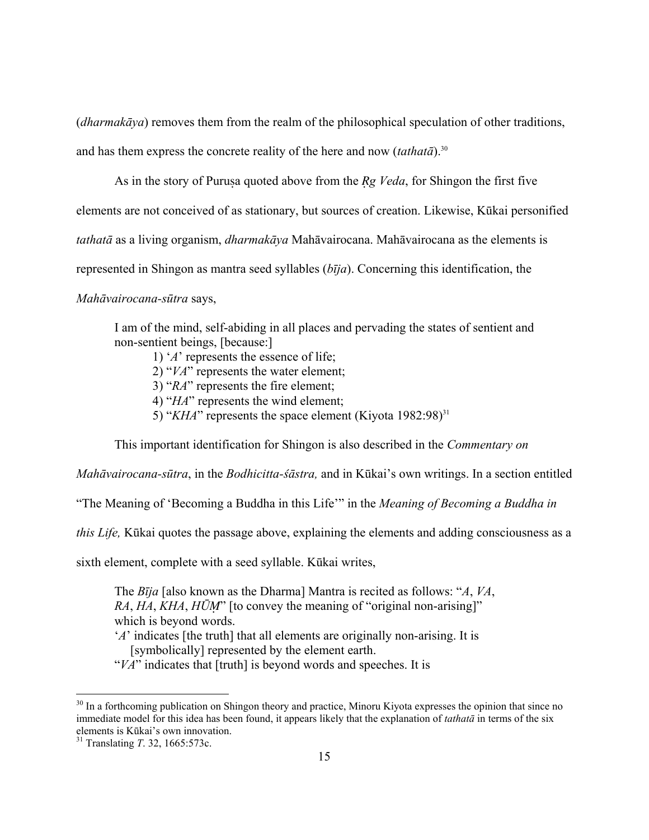(*dharmakāya*) removes them from the realm of the philosophical speculation of other traditions,

and has them express the concrete reality of the here and now  $(tathat\bar{a})$ <sup>30</sup>

As in the story of Purusa quoted above from the *Rg Veda*, for Shingon the first five

elements are not conceived of as stationary, but sources of creation. Likewise, Kūkai personified

*tathatā* as a living organism, *dharmakāya* Mahāvairocana. Mahāvairocana as the elements is

represented in Shingon as mantra seed syllables (*bīja*). Concerning this identification, the

*Mahāvairocana-sūtra* says,

I am of the mind, self-abiding in all places and pervading the states of sentient and non-sentient beings, [because:]

1) '*A*' represents the essence of life;

2) "*VA*" represents the water element;

3) "*RA*" represents the fire element;

4) "*HA*" represents the wind element;

5) "*KHA*" represents the space element (Kiyota 1982:98)<sup>[31](#page-14-1)</sup>

This important identification for Shingon is also described in the *Commentary on*

*Mahāvairocana-sūtra*, in the *Bodhicitta-śāstra,* and in Kūkai's own writings. In a section entitled

"The Meaning of 'Becoming a Buddha in this Life'" in the *Meaning of Becoming a Buddha in* 

*this Life,* Kūkai quotes the passage above, explaining the elements and adding consciousness as a

sixth element, complete with a seed syllable. Kūkai writes,

The *Bīja* [also known as the Dharma] Mantra is recited as follows: "*A*, *VA*, *RA*, *HA*, *KHA*, *HŪ*" [to convey the meaning of "original non-arising]" which is beyond words.

'*A*' indicates [the truth] that all elements are originally non-arising. It is [symbolically] represented by the element earth.

"*VA*" indicates that [truth] is beyond words and speeches. It is

<span id="page-14-0"></span><sup>&</sup>lt;sup>30</sup> In a forthcoming publication on Shingon theory and practice, Minoru Kiyota expresses the opinion that since no immediate model for this idea has been found, it appears likely that the explanation of *tathatā* in terms of the six elements is Kūkai's own innovation. 31 Translating *T*. 32, 1665:573c.

<span id="page-14-1"></span>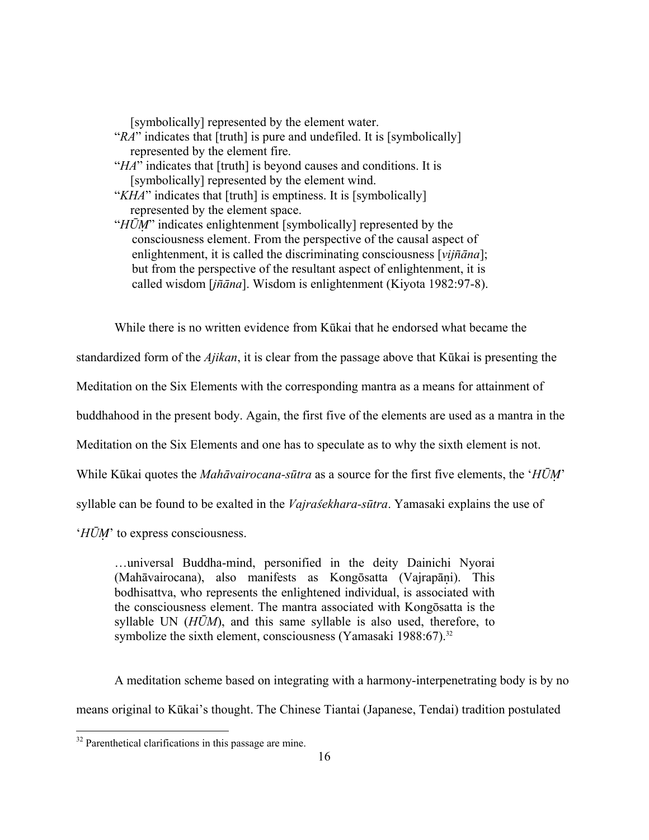[symbolically] represented by the element water.

- "*RA*" indicates that [truth] is pure and undefiled. It is [symbolically] represented by the element fire.
- "*HA*" indicates that [truth] is beyond causes and conditions. It is [symbolically] represented by the element wind.
- "*KHA*" indicates that [truth] is emptiness. It is [symbolically] represented by the element space.
- "*HŪM*" indicates enlightenment [symbolically] represented by the consciousness element. From the perspective of the causal aspect of enlightenment, it is called the discriminating consciousness [vijñāna]; but from the perspective of the resultant aspect of enlightenment, it is called wisdom [*jñāna*]. Wisdom is enlightenment (Kiyota 1982:97-8).

While there is no written evidence from Kūkai that he endorsed what became the

standardized form of the *Ajikan*, it is clear from the passage above that Kūkai is presenting the

Meditation on the Six Elements with the corresponding mantra as a means for attainment of

buddhahood in the present body. Again, the first five of the elements are used as a mantra in the

Meditation on the Six Elements and one has to speculate as to why the sixth element is not.

While Kūkai quotes the *Mahāvairocana-sūtra* as a source for the first five elements, the '*HŪ*'

syllable can be found to be exalted in the *Vajraśekhara-sūtra*. Yamasaki explains the use of

*'HŪM'* to express consciousness.

…universal Buddha-mind, personified in the deity Dainichi Nyorai (Mahāvairocana), also manifests as Kongōsatta (Vajrapāni). This bodhisattva, who represents the enlightened individual, is associated with the consciousness element. The mantra associated with Kongōsatta is the syllable UN (*HŪM*), and this same syllable is also used, therefore, to symbolize the sixth element, consciousness (Yamasaki 1988:67).<sup>32</sup>

 A meditation scheme based on integrating with a harmony-interpenetrating body is by no means original to Kūkai's thought. The Chinese Tiantai (Japanese, Tendai) tradition postulated

<span id="page-15-0"></span> $32$  Parenthetical clarifications in this passage are mine.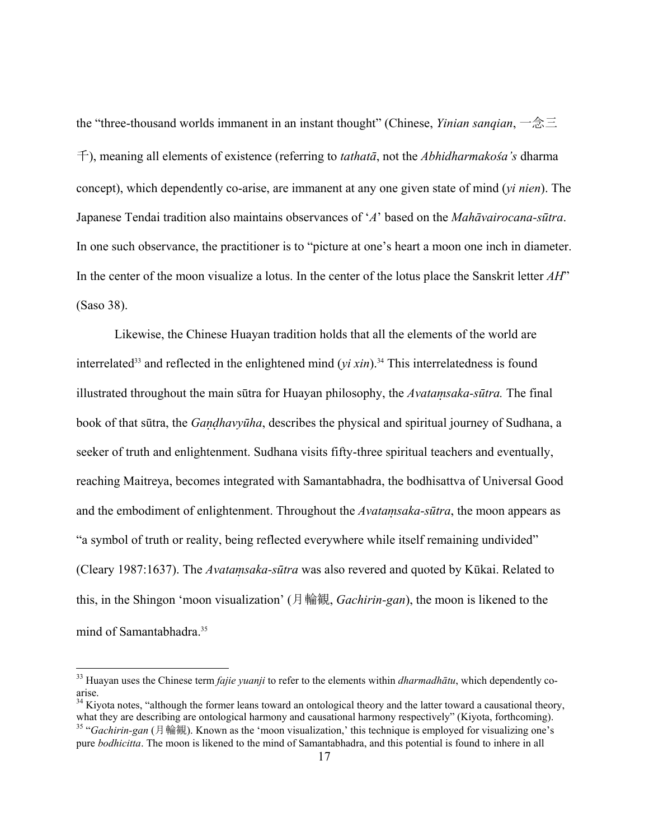<span id="page-16-2"></span>the "three-thousand worlds immanent in an instant thought" (Chinese, *Yinian sanqian*, 一念三 千), meaning all elements of existence (referring to *tathatā*, not the *Abhidharmakośa's* dharma concept), which dependently co-arise, are immanent at any one given state of mind (*yi nien*). The Japanese Tendai tradition also maintains observances of '*A*' based on the *Mahāvairocana-sūtra*. In one such observance, the practitioner is to "picture at one's heart a moon one inch in diameter. In the center of the moon visualize a lotus. In the center of the lotus place the Sanskrit letter *AH*" (Saso 38).

Likewise, the Chinese Huayan tradition holds that all the elements of the world are interrelated<sup>33</sup> and reflected in the enlightened mind  $(vi xin)$ .<sup>34</sup> This interrelatedness is found illustrated throughout the main sūtra for Huayan philosophy, the *Avatasaka-sūtra.* The final book of that sūtra, the *Gahavyūha*, describes the physical and spiritual journey of Sudhana, a seeker of truth and enlightenment. Sudhana visits fifty-three spiritual teachers and eventually, reaching Maitreya, becomes integrated with Samantabhadra, the bodhisattva of Universal Good and the embodiment of enlightenment. Throughout the *Avatamsaka-sūtra*, the moon appears as "a symbol of truth or reality, being reflected everywhere while itself remaining undivided" (Cleary 1987:1637). The *Avatasaka-sūtra* was also revered and quoted by Kūkai. Related to this, in the Shingon 'moon visualization' (月輪観, *Gachirin-gan*), the moon is likened to the mind of Samantabhadra.<sup>[35](#page-16-2)</sup>

<span id="page-16-0"></span><sup>33</sup> Huayan uses the Chinese term *fajie yuanji* to refer to the elements within *dharmadhātu*, which dependently coarise.

<span id="page-16-1"></span> $34$  Kiyota notes, "although the former leans toward an ontological theory and the latter toward a causational theory, what they are describing are ontological harmony and causational harmony respectively" (Kiyota, forthc <sup>35</sup> "*Gachirin-gan* (月輪観). Known as the 'moon visualization,' this technique is employed for visualizing one's pure *bodhicitta*. The moon is likened to the mind of Samantabhadra, and this potential is found to inhere in all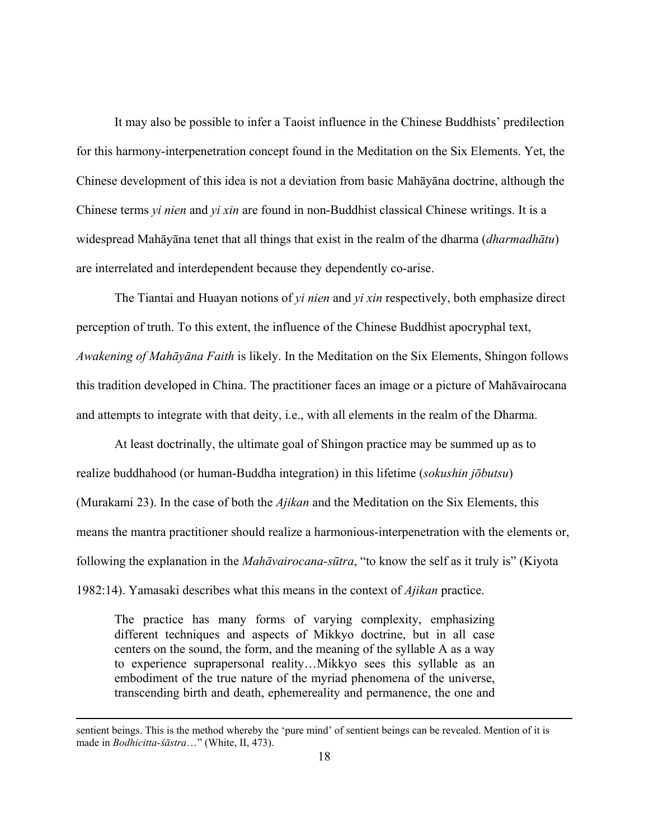It may also be possible to infer a Taoist influence in the Chinese Buddhists' predilection for this harmony-interpenetration concept found in the Meditation on the Six Elements. Yet, the Chinese development of this idea is not a deviation from basic Mahāyāna doctrine, although the Chinese terms *yi nien* and *yi xin* are found in non-Buddhist classical Chinese writings. It is a widespread Mahāyāna tenet that all things that exist in the realm of the dharma (*dharmadhātu*) are interrelated and interdependent because they dependently co-arise.

The Tiantai and Huayan notions of *yi nien* and *yi xin* respectively, both emphasize direct perception of truth. To this extent, the influence of the Chinese Buddhist apocryphal text, *Awakening of Mahāyāna Faith* is likely. In the Meditation on the Six Elements, Shingon follows this tradition developed in China. The practitioner faces an image or a picture of Mahāvairocana and attempts to integrate with that deity, i.e., with all elements in the realm of the Dharma.

At least doctrinally, the ultimate goal of Shingon practice may be summed up as to realize buddhahood (or human-Buddha integration) in this lifetime (*sokushin jōbutsu*) (Murakami 23). In the case of both the *Ajikan* and the Meditation on the Six Elements, this means the mantra practitioner should realize a harmonious-interpenetration with the elements or, following the explanation in the *Mahāvairocana-sūtra*, "to know the self as it truly is" (Kiyota 1982:14). Yamasaki describes what this means in the context of *Ajikan* practice.

The practice has many forms of varying complexity, emphasizing different techniques and aspects of Mikkyo doctrine, but in all case centers on the sound, the form, and the meaning of the syllable A as a way to experience suprapersonal reality…Mikkyo sees this syllable as an embodiment of the true nature of the myriad phenomena of the universe, transcending birth and death, ephemereality and permanence, the one and

sentient beings. This is the method whereby the 'pure mind' of sentient beings can be revealed. Mention of it is made in *Bodhicitta-śāstra*…" (White, II, 473).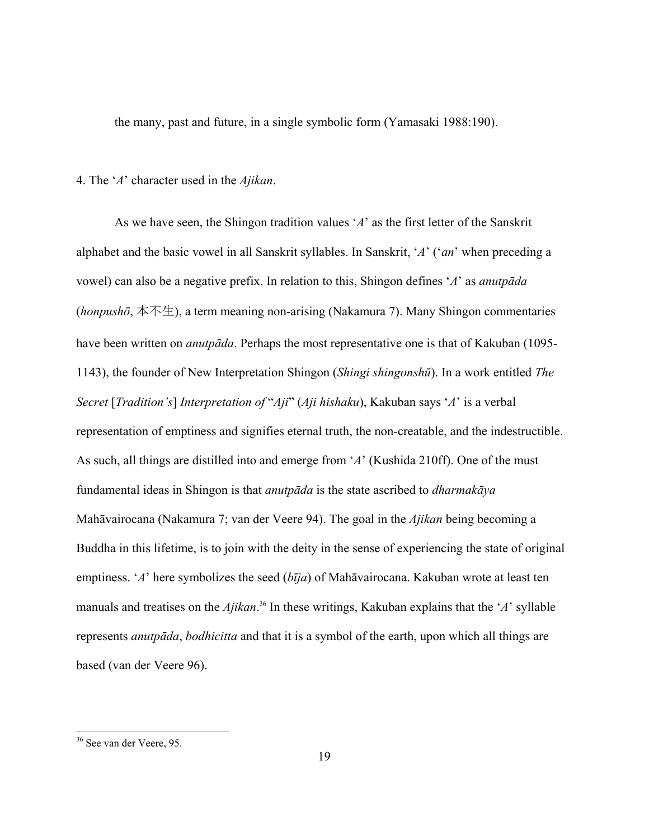the many, past and future, in a single symbolic form (Yamasaki 1988:190).

## 4. The '*A*' character used in the *Ajikan*.

As we have seen, the Shingon tradition values '*A*' as the first letter of the Sanskrit alphabet and the basic vowel in all Sanskrit syllables. In Sanskrit, '*A*' ('*an*' when preceding a vowel) can also be a negative prefix. In relation to this, Shingon defines '*A*' as *anutpāda* (*honpushō*, 本不生), a term meaning non-arising (Nakamura 7). Many Shingon commentaries have been written on *anutpāda*. Perhaps the most representative one is that of Kakuban (1095- 1143), the founder of New Interpretation Shingon (*Shingi shingonshū*). In a work entitled *The Secret* [*Tradition's*] *Interpretation of* "*Aji*" (*Aji hishaku*), Kakuban says '*A*' is a verbal representation of emptiness and signifies eternal truth, the non-creatable, and the indestructible. As such, all things are distilled into and emerge from '*A*' (Kushida 210ff). One of the must fundamental ideas in Shingon is that *anutpāda* is the state ascribed to *dharmakāya* Mahāvairocana (Nakamura 7; van der Veere 94). The goal in the *Ajikan* being becoming a Buddha in this lifetime, is to join with the deity in the sense of experiencing the state of original emptiness. '*A*' here symbolizes the seed (*bīja*) of Mahāvairocana. Kakuban wrote at least ten manuals and treatises on the *Ajikan*. 36In these writings, Kakuban explains that the '*A*' syllable represents *anutpāda*, *bodhicitta* and that it is a symbol of the earth, upon which all things are based (van der Veere 96).

<span id="page-18-0"></span><sup>&</sup>lt;sup>36</sup> See van der Veere, 95.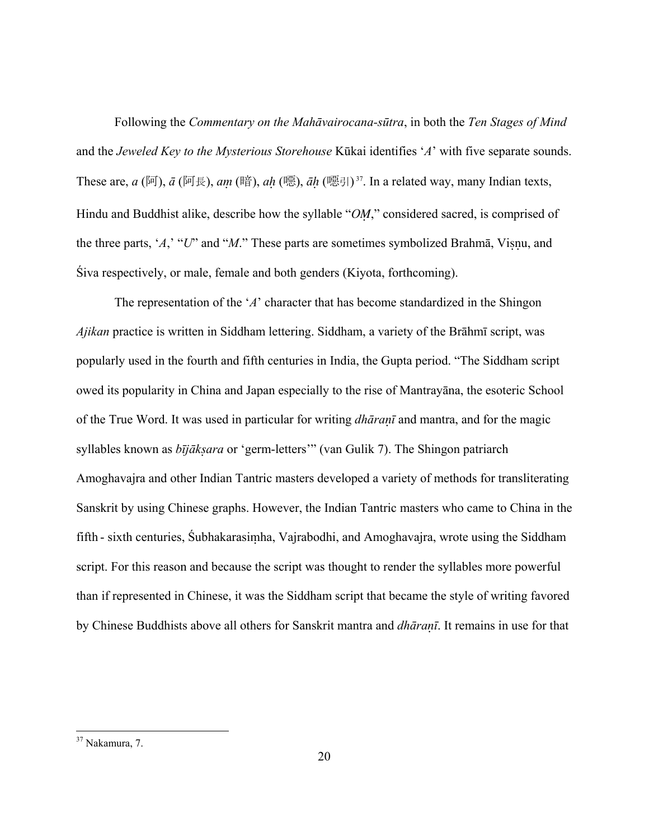Following the *Commentary on the Mahāvairocana-sūtra*, in both the *Ten Stages of Mind* and the *Jeweled Key to the Mysterious Storehouse* Kūkai identifies '*A*' with five separate sounds. These are,  $a$  (阿),  $\bar{a}$  (阿長),  $am$  (暗),  $ah$  (噁),  $\bar{a}h$  (噁引)<sup>37</sup>. In a related way, many Indian texts, Hindu and Buddhist alike, describe how the syllable "OM," considered sacred, is comprised of the three parts, '*A*,' "*U*" and "*M*." These parts are sometimes symbolized Brahmā, Visnu, and Śiva respectively, or male, female and both genders (Kiyota, forthcoming).

The representation of the '*A*' character that has become standardized in the Shingon *Ajikan* practice is written in Siddham lettering. Siddham, a variety of the Brāhmī script, was popularly used in the fourth and fifth centuries in India, the Gupta period. "The Siddham script owed its popularity in China and Japan especially to the rise of Mantrayāna, the esoteric School of the True Word. It was used in particular for writing *dhāraī* and mantra, and for the magic syllables known as *bījākara* or 'germ-letters'" (van Gulik 7). The Shingon patriarch Amoghavajra and other Indian Tantric masters developed a variety of methods for transliterating Sanskrit by using Chinese graphs. However, the Indian Tantric masters who came to China in the fifth - sixth centuries, Subhakarasimha, Vajrabodhi, and Amoghavajra, wrote using the Siddham script. For this reason and because the script was thought to render the syllables more powerful than if represented in Chinese, it was the Siddham script that became the style of writing favored by Chinese Buddhists above all others for Sanskrit mantra and *dhāraī*. It remains in use for that

1

<span id="page-19-0"></span><sup>&</sup>lt;sup>37</sup> Nakamura, 7.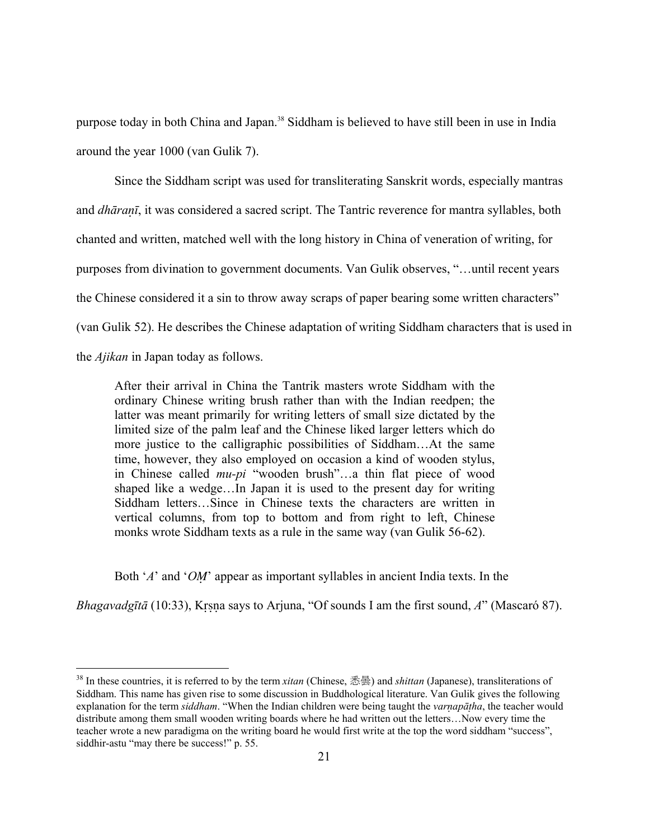purpose today in both China and Japan.<sup>38</sup> Siddham is believed to have still been in use in India around the year 1000 (van Gulik 7).

Since the Siddham script was used for transliterating Sanskrit words, especially mantras and *dhāraī*, it was considered a sacred script. The Tantric reverence for mantra syllables, both chanted and written, matched well with the long history in China of veneration of writing, for purposes from divination to government documents. Van Gulik observes, "…until recent years the Chinese considered it a sin to throw away scraps of paper bearing some written characters" (van Gulik 52). He describes the Chinese adaptation of writing Siddham characters that is used in the *Ajikan* in Japan today as follows.

After their arrival in China the Tantrik masters wrote Siddham with the ordinary Chinese writing brush rather than with the Indian reedpen; the latter was meant primarily for writing letters of small size dictated by the limited size of the palm leaf and the Chinese liked larger letters which do more justice to the calligraphic possibilities of Siddham...At the same time, however, they also employed on occasion a kind of wooden stylus, in Chinese called *mu-pi* "wooden brush"…a thin flat piece of wood shaped like a wedge…In Japan it is used to the present day for writing Siddham letters…Since in Chinese texts the characters are written in vertical columns, from top to bottom and from right to left, Chinese monks wrote Siddham texts as a rule in the same way (van Gulik 56-62).

Both '*A*' and '*OM*' appear as important syllables in ancient India texts. In the

*Bhagavadgītā* (10:33), Krsna says to Arjuna, "Of sounds I am the first sound, *A*" (Mascaró 87).

<span id="page-20-0"></span><sup>38</sup> In these countries, it is referred to by the term *xitan* (Chinese, 悉曇) and *shittan* (Japanese), transliterations of Siddham. This name has given rise to some discussion in Buddhological literature. Van Gulik gives the following explanation for the term *siddham*. "When the Indian children were being taught the *varapāha*, the teacher would distribute among them small wooden writing boards where he had written out the letters…Now every time the teacher wrote a new paradigma on the writing board he would first write at the top the word siddham "success", siddhir-astu "may there be success!" p. 55.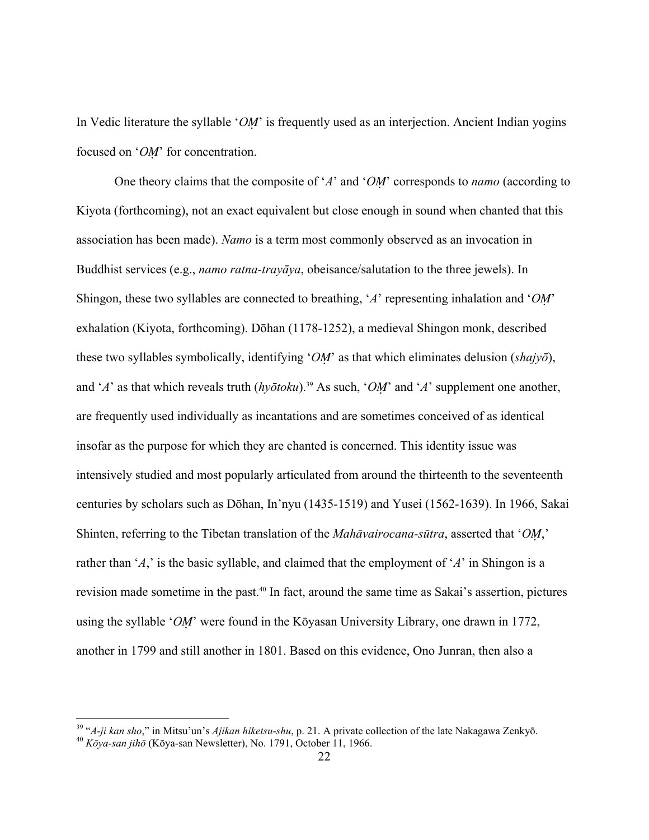In Vedic literature the syllable '*OM*' is frequently used as an interjection. Ancient Indian yogins focused on '*OM*' for concentration.

One theory claims that the composite of '*A*' and '*OM*' corresponds to *namo* (according to Kiyota (forthcoming), not an exact equivalent but close enough in sound when chanted that this association has been made). *Namo* is a term most commonly observed as an invocation in Buddhist services (e.g., *namo ratna-trayāya*, obeisance/salutation to the three jewels). In Shingon, these two syllables are connected to breathing, '*A*' representing inhalation and '*O*' exhalation (Kiyota, forthcoming). Dōhan (1178-1252), a medieval Shingon monk, described these two syllables symbolically, identifying '*O*' as that which eliminates delusion (*shajyō*), and '*A*' as that which reveals truth  $(h\nu\bar{o}$ *toku*).<sup>39</sup> As such, '*OM*' and '*A*' supplement one another, are frequently used individually as incantations and are sometimes conceived of as identical insofar as the purpose for which they are chanted is concerned. This identity issue was intensively studied and most popularly articulated from around the thirteenth to the seventeenth centuries by scholars such as Dōhan, In'nyu (1435-1519) and Yusei (1562-1639). In 1966, Sakai Shinten, referring to the Tibetan translation of the *Mahāvairocana-sūtra*, asserted that '*O*,' rather than '*A*,' is the basic syllable, and claimed that the employment of '*A*' in Shingon is a revision made sometime in the past.<sup>40</sup> In fact, around the same time as Sakai's assertion, pictures using the syllable '*OM*' were found in the Kōyasan University Library, one drawn in 1772, another in 1799 and still another in 1801. Based on this evidence, Ono Junran, then also a

<span id="page-21-0"></span><sup>39 &</sup>quot;*A-ji kan sho*," in Mitsu'un's *Ajikan hiketsu-shu*, p. 21. A private collection of the late Nakagawa Zenkyō. 40 *<sup>K</sup>ōya-san jihō* (Kōya-san Newsletter), No. 1791, October 11, 1966.

<span id="page-21-1"></span>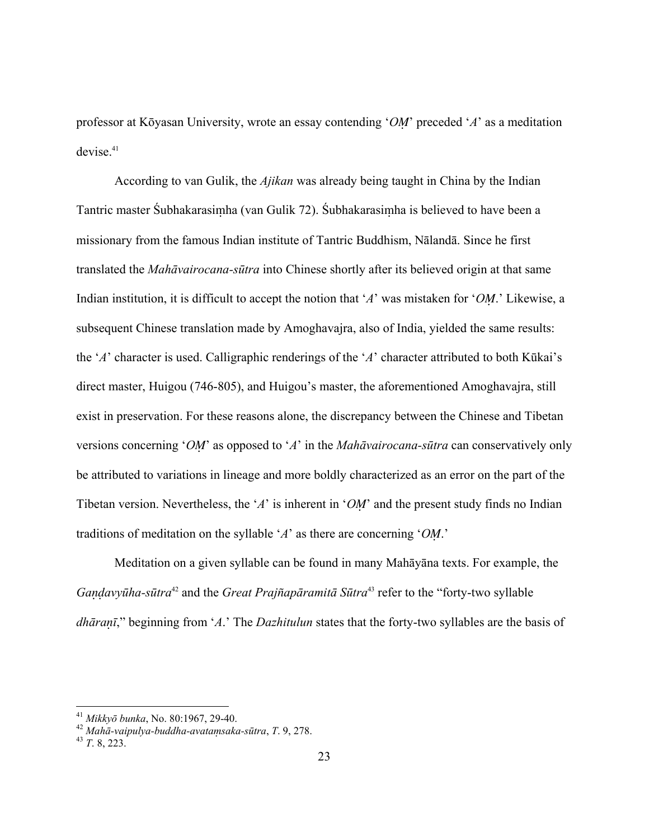professor at Kōyasan University, wrote an essay contending '*OM*' preceded '*A*' as a meditation devise.<sup>41</sup>

According to van Gulik, the *Ajikan* was already being taught in China by the Indian Tantric master Śubhakarasimha (van Gulik 72). Śubhakarasimha is believed to have been a missionary from the famous Indian institute of Tantric Buddhism, Nālandā. Since he first translated the *Mahāvairocana-sūtra* into Chinese shortly after its believed origin at that same Indian institution, it is difficult to accept the notion that '*A*' was mistaken for '*OM*.' Likewise, a subsequent Chinese translation made by Amoghavajra, also of India, yielded the same results: the '*A*' character is used. Calligraphic renderings of the '*A*' character attributed to both Kūkai's direct master, Huigou (746-805), and Huigou's master, the aforementioned Amoghavajra, still exist in preservation. For these reasons alone, the discrepancy between the Chinese and Tibetan versions concerning '*O*' as opposed to '*A*' in the *Mahāvairocana-sūtra* can conservatively only be attributed to variations in lineage and more boldly characterized as an error on the part of the Tibetan version. Nevertheless, the '*A*' is inherent in '*OM*' and the present study finds no Indian traditions of meditation on the syllable '*A*' as there are concerning '*OM*.'

Meditation on a given syllable can be found in many Mahāyāna texts. For example, the *Gaavyūha-sūtra*[42](#page-22-1) and the *Great Praj–apāramitā Sūtra*[43](#page-22-2) refer to the "forty-two syllable *dhāraī*," beginning from '*A*.' The *Dazhitulun* states that the forty-two syllables are the basis of

1

<span id="page-22-1"></span><span id="page-22-0"></span>

<sup>41</sup> *Mikkyō bunka*, No. 80:1967, 29-40. 42 *Mahā-vaipulya-buddha-avatasaka-sūtra*, *T*. 9, 278. 43 *<sup>T</sup>*. 8, 223.

<span id="page-22-2"></span>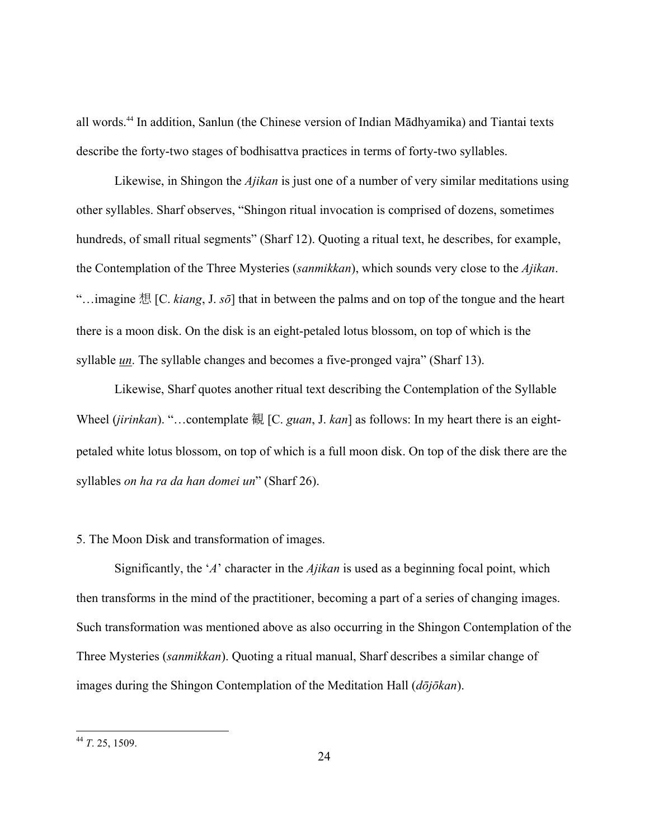all words[.44](#page-23-0) In addition, Sanlun (the Chinese version of Indian Mādhyamika) and Tiantai texts describe the forty-two stages of bodhisattva practices in terms of forty-two syllables.

Likewise, in Shingon the *Ajikan* is just one of a number of very similar meditations using other syllables. Sharf observes, "Shingon ritual invocation is comprised of dozens, sometimes hundreds, of small ritual segments" (Sharf 12). Quoting a ritual text, he describes, for example, the Contemplation of the Three Mysteries (*sanmikkan*), which sounds very close to the *Ajikan*. "…imagine 想 [C. *kiang*, J. *sō*] that in between the palms and on top of the tongue and the heart there is a moon disk. On the disk is an eight-petaled lotus blossom, on top of which is the syllable <u>un</u>. The syllable changes and becomes a five-pronged vajra" (Sharf 13).

Likewise, Sharf quotes another ritual text describing the Contemplation of the Syllable Wheel (*jirinkan*). "…contemplate 観 [C. *guan*, J. *kan*] as follows: In my heart there is an eightpetaled white lotus blossom, on top of which is a full moon disk. On top of the disk there are the syllables *on ha ra da han domei un*" (Sharf 26).

# 5. The Moon Disk and transformation of images.

 Significantly, the '*A*' character in the *Ajikan* is used as a beginning focal point, which then transforms in the mind of the practitioner, becoming a part of a series of changing images. Such transformation was mentioned above as also occurring in the Shingon Contemplation of the Three Mysteries (*sanmikkan*). Quoting a ritual manual, Sharf describes a similar change of images during the Shingon Contemplation of the Meditation Hall (*dōjōkan*).

<span id="page-23-0"></span><sup>44</sup> *T*. 25, 1509.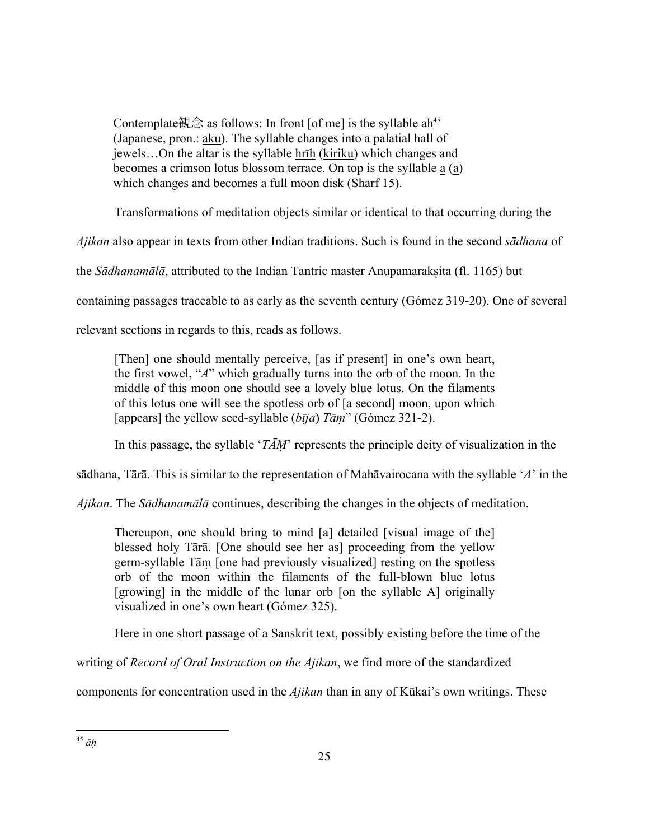Contemplate観念 as follows: In front [of me] is the syllable ah<sup>[45](#page-24-0)</sup> (Japanese, pron.: aku). The syllable changes into a palatial hall of jewels...On the altar is the syllable hrih (kiriku) which changes and becomes a crimson lotus blossom terrace. On top is the syllable a (a) which changes and becomes a full moon disk (Sharf 15).

Transformations of meditation objects similar or identical to that occurring during the

*Ajikan* also appear in texts from other Indian traditions. Such is found in the second *sādhana* of

the *Sādhanamālā*, attributed to the Indian Tantric master Anupamarakita (fl. 1165) but

containing passages traceable to as early as the seventh century (Gómez 319-20). One of several

relevant sections in regards to this, reads as follows.

[Then] one should mentally perceive, [as if present] in one's own heart, the first vowel, "*A*" which gradually turns into the orb of the moon. In the middle of this moon one should see a lovely blue lotus. On the filaments of this lotus one will see the spotless orb of [a second] moon, upon which [appears] the yellow seed-syllable  $(b\bar{i}ja)$   $T\bar{a}m$ " (Gómez 321-2).

In this passage, the syllable '*TĀ*' represents the principle deity of visualization in the

sādhana, Tārā. This is similar to the representation of Mahāvairocana with the syllable '*A*' in the

*Ajikan*. The *Sādhanamālā* continues, describing the changes in the objects of meditation.

Thereupon, one should bring to mind [a] detailed [visual image of the] blessed holy Tārā. [One should see her as] proceeding from the yellow germ-syllable Tām [one had previously visualized] resting on the spotless orb of the moon within the filaments of the full-blown blue lotus [growing] in the middle of the lunar orb [on the syllable A] originally visualized in one's own heart (Gómez 325).

Here in one short passage of a Sanskrit text, possibly existing before the time of the

writing of *Record of Oral Instruction on the Ajikan*, we find more of the standardized

<span id="page-24-0"></span>components for concentration used in the *Ajikan* than in any of Kūkai's own writings. These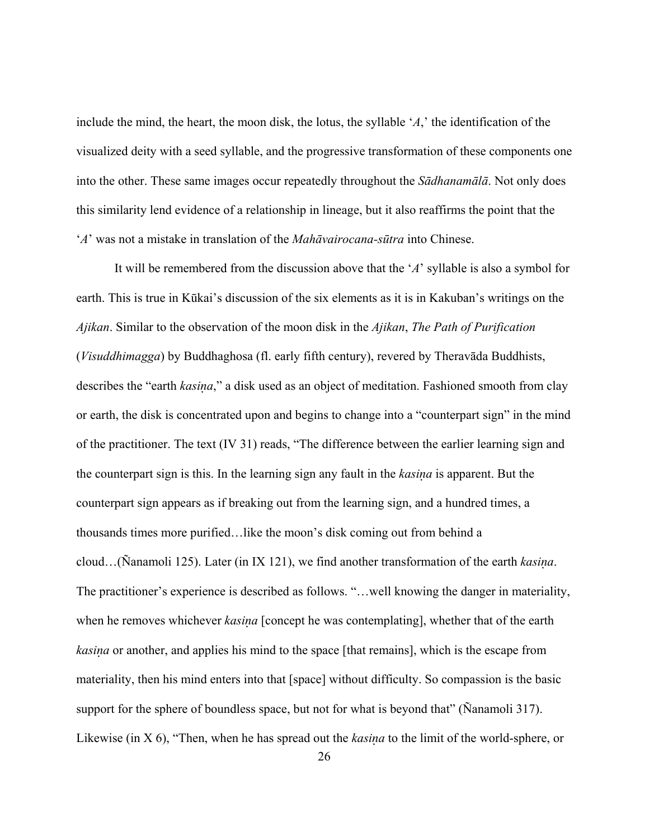include the mind, the heart, the moon disk, the lotus, the syllable '*A*,' the identification of the visualized deity with a seed syllable, and the progressive transformation of these components one into the other. These same images occur repeatedly throughout the *Sādhanamālā*. Not only does this similarity lend evidence of a relationship in lineage, but it also reaffirms the point that the '*A*' was not a mistake in translation of the *Mahāvairocana-sūtra* into Chinese.

It will be remembered from the discussion above that the '*A*' syllable is also a symbol for earth. This is true in Kūkai's discussion of the six elements as it is in Kakuban's writings on the *Ajikan*. Similar to the observation of the moon disk in the *Ajikan*, *The Path of Purification* (*Visuddhimagga*) by Buddhaghosa (fl. early fifth century), revered by Theravāda Buddhists, describes the "earth *kasia*," a disk used as an object of meditation. Fashioned smooth from clay or earth, the disk is concentrated upon and begins to change into a "counterpart sign" in the mind of the practitioner. The text (IV 31) reads, "The difference between the earlier learning sign and the counterpart sign is this. In the learning sign any fault in the *kasia* is apparent. But the counterpart sign appears as if breaking out from the learning sign, and a hundred times, a thousands times more purified…like the moon's disk coming out from behind a cloud…(Ñanamoli 125). Later (in IX 121), we find another transformation of the earth *kasia*. The practitioner's experience is described as follows. "…well knowing the danger in materiality, when he removes whichever *kasina* [concept he was contemplating], whether that of the earth *kasia* or another, and applies his mind to the space [that remains], which is the escape from materiality, then his mind enters into that [space] without difficulty. So compassion is the basic support for the sphere of boundless space, but not for what is beyond that" (Nanamoli 317). Likewise (in X 6), "Then, when he has spread out the *kasia* to the limit of the world-sphere, or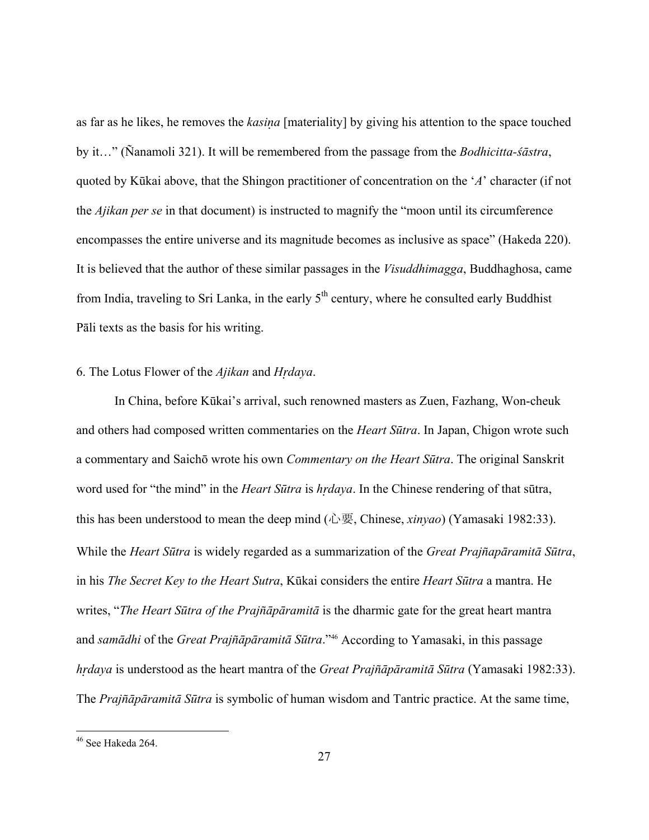as far as he likes, he removes the *kasia* [materiality] by giving his attention to the space touched by it…" (Ñanamoli 321). It will be remembered from the passage from the *Bodhicitta-śāstra*, quoted by Kūkai above, that the Shingon practitioner of concentration on the '*A*' character (if not the *Ajikan per se* in that document) is instructed to magnify the "moon until its circumference encompasses the entire universe and its magnitude becomes as inclusive as space" (Hakeda 220). It is believed that the author of these similar passages in the *Visuddhimagga*, Buddhaghosa, came from India, traveling to Sri Lanka, in the early 5<sup>th</sup> century, where he consulted early Buddhist Pāli texts as the basis for his writing.

#### 6. The Lotus Flower of the *Ajikan* and *Hdaya*.

In China, before Kūkai's arrival, such renowned masters as Zuen, Fazhang, Won-cheuk and others had composed written commentaries on the *Heart Sūtra*. In Japan, Chigon wrote such a commentary and Saichō wrote his own *Commentary on the Heart Sūtra*. The original Sanskrit word used for "the mind" in the *Heart Sūtra* is *hdaya*. In the Chinese rendering of that sūtra, this has been understood to mean the deep mind (心要, Chinese, *xinyao*) (Yamasaki 1982:33). While the *Heart Sūtra* is widely regarded as a summarization of the *Great Praj–apāramitā Sūtra*, in his *The Secret Key to the Heart Sutra*, Kūkai considers the entire *Heart Sūtra* a mantra. He writes, "*The Heart Sūtra of the Praj–āpāramitā* is the dharmic gate for the great heart mantra and *samādhi* of the *Great Praj–āpāramitā Sūtra*.["46](#page-26-0) According to Yamasaki, in this passage *hdaya* is understood as the heart mantra of the *Great Praj–āpāramitā Sūtra* (Yamasaki 1982:33). The *Praj–āpāramitā Sūtra* is symbolic of human wisdom and Tantric practice. At the same time,

1

<span id="page-26-0"></span><sup>&</sup>lt;sup>46</sup> See Hakeda 264.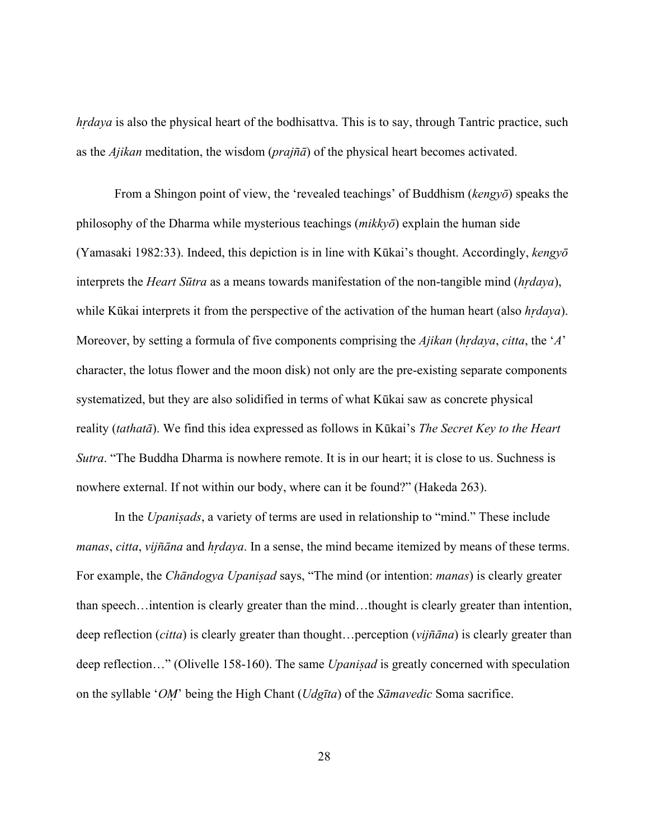*hdaya* is also the physical heart of the bodhisattva. This is to say, through Tantric practice, such as the *Ajikan* meditation, the wisdom (*prajña*) of the physical heart becomes activated.

From a Shingon point of view, the 'revealed teachings' of Buddhism (*kengyō*) speaks the philosophy of the Dharma while mysterious teachings (*mikkyō*) explain the human side (Yamasaki 1982:33). Indeed, this depiction is in line with Kūkai's thought. Accordingly, *kengyō* interprets the *Heart Sūtra* as a means towards manifestation of the non-tangible mind (*hdaya*), while Kūkai interprets it from the perspective of the activation of the human heart (also *hdaya*). Moreover, by setting a formula of five components comprising the *Ajikan* (*hdaya*, *citta*, the '*A*' character, the lotus flower and the moon disk) not only are the pre-existing separate components systematized, but they are also solidified in terms of what Kūkai saw as concrete physical reality (*tathatā*). We find this idea expressed as follows in Kūkai's *The Secret Key to the Heart Sutra*. "The Buddha Dharma is nowhere remote. It is in our heart; it is close to us. Suchness is nowhere external. If not within our body, where can it be found?" (Hakeda 263).

 In the *Upaniads*, a variety of terms are used in relationship to "mind." These include *manas, citta, vijñāna* and *hrdaya*. In a sense, the mind became itemized by means of these terms. For example, the *Chāndogya Upaniad* says, "The mind (or intention: *manas*) is clearly greater than speech…intention is clearly greater than the mind…thought is clearly greater than intention, deep reflection (*citta*) is clearly greater than thought...perception (*vijñāna*) is clearly greater than deep reflection…" (Olivelle 158-160). The same *Upaniad* is greatly concerned with speculation on the syllable '*O*' being the High Chant (*Udgīta*) of the *Sāmavedic* Soma sacrifice.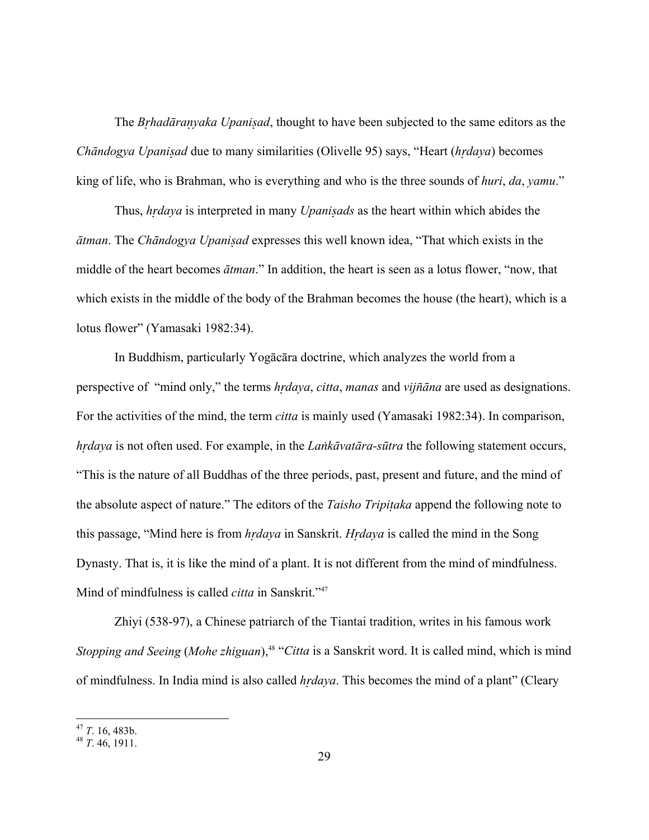The *Bhadārayaka Upaniad*, thought to have been subjected to the same editors as the *Chāndogya Upaniad* due to many similarities (Olivelle 95) says, "Heart (*hdaya*) becomes king of life, who is Brahman, who is everything and who is the three sounds of *huri*, *da*, *yamu*."

 Thus, *hdaya* is interpreted in many *Upaniads* as the heart within which abides the *ātman*. The *Chāndogya Upaniad* expresses this well known idea, "That which exists in the middle of the heart becomes *ātman*." In addition, the heart is seen as a lotus flower, "now, that which exists in the middle of the body of the Brahman becomes the house (the heart), which is a lotus flower" (Yamasaki 1982:34).

In Buddhism, particularly Yogācāra doctrine, which analyzes the world from a perspective of "mind only," the terms *hrdaya*, *citta*, *manas* and *vijñāna* are used as designations. For the activities of the mind, the term *citta* is mainly used (Yamasaki 1982:34). In comparison, *hdaya* is not often used. For example, in the *Lakāvatāra-sūtra* the following statement occurs, "This is the nature of all Buddhas of the three periods, past, present and future, and the mind of the absolute aspect of nature." The editors of the *Taisho Tripiaka* append the following note to this passage, "Mind here is from *hdaya* in Sanskrit. *Hdaya* is called the mind in the Song Dynasty. That is, it is like the mind of a plant. It is not different from the mind of mindfulness. Mind of mindfulness is called *citta* in Sanskrit."<sup>47</sup>

Zhiyi (538-97), a Chinese patriarch of the Tiantai tradition, writes in his famous work *Stopping and Seeing* (*Mohe zhiguan*),<sup>48</sup> "*Citta* is a Sanskrit word. It is called mind, which is mind of mindfulness. In India mind is also called *hdaya*. This becomes the mind of a plant" (Cleary

<span id="page-28-0"></span><sup>47</sup> *<sup>T</sup>*. 16, 483b. 48 *<sup>T</sup>*. 46, 1911.

<span id="page-28-1"></span>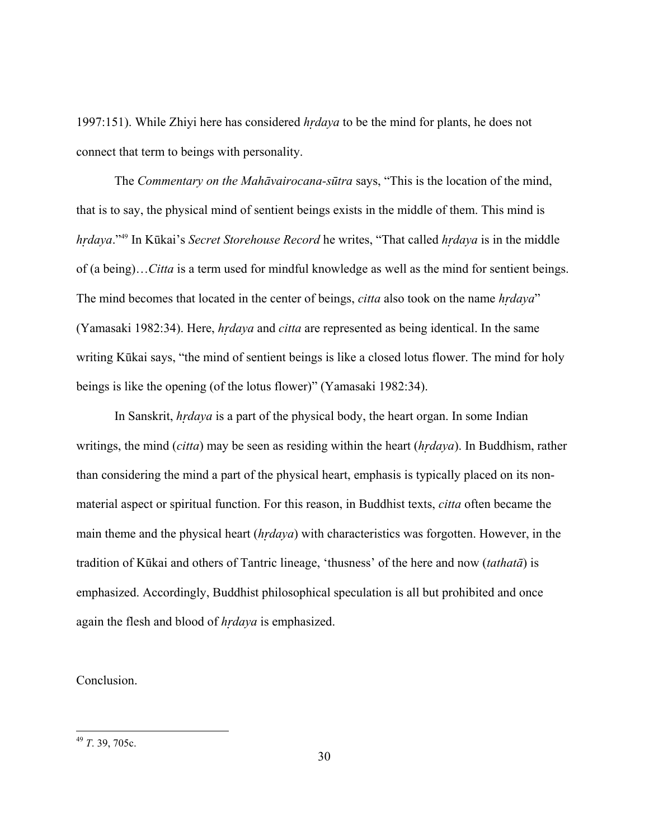1997:151). While Zhiyi here has considered *hdaya* to be the mind for plants, he does not connect that term to beings with personality.

 The *Commentary on the Mahāvairocana-sūtra* says, "This is the location of the mind, that is to say, the physical mind of sentient beings exists in the middle of them. This mind is *hdaya*."[49](#page-29-0) In Kūkai's *Secret Storehouse Record* he writes, "That called *hdaya* is in the middle of (a being)…*Citta* is a term used for mindful knowledge as well as the mind for sentient beings. The mind becomes that located in the center of beings, *citta* also took on the name *hdaya*" (Yamasaki 1982:34). Here, *hdaya* and *citta* are represented as being identical. In the same writing Kūkai says, "the mind of sentient beings is like a closed lotus flower. The mind for holy beings is like the opening (of the lotus flower)" (Yamasaki 1982:34).

 In Sanskrit, *hdaya* is a part of the physical body, the heart organ. In some Indian writings, the mind (*citta*) may be seen as residing within the heart (*hdaya*). In Buddhism, rather than considering the mind a part of the physical heart, emphasis is typically placed on its nonmaterial aspect or spiritual function. For this reason, in Buddhist texts, *citta* often became the main theme and the physical heart (*hdaya*) with characteristics was forgotten. However, in the tradition of Kūkai and others of Tantric lineage, 'thusness' of the here and now (*tathatā*) is emphasized. Accordingly, Buddhist philosophical speculation is all but prohibited and once again the flesh and blood of *hdaya* is emphasized.

# Conclusion.

<span id="page-29-0"></span><sup>49</sup> *T*. 39, 705c.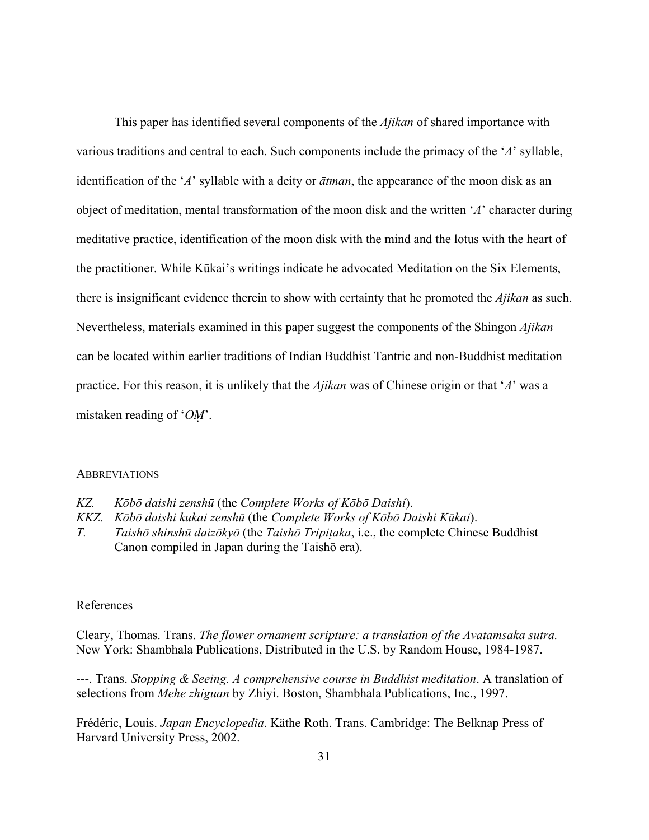This paper has identified several components of the *Ajikan* of shared importance with various traditions and central to each. Such components include the primacy of the '*A*' syllable, identification of the '*A*' syllable with a deity or *ātman*, the appearance of the moon disk as an object of meditation, mental transformation of the moon disk and the written '*A*' character during meditative practice, identification of the moon disk with the mind and the lotus with the heart of the practitioner. While Kūkai's writings indicate he advocated Meditation on the Six Elements, there is insignificant evidence therein to show with certainty that he promoted the *Ajikan* as such. Nevertheless, materials examined in this paper suggest the components of the Shingon *Ajikan* can be located within earlier traditions of Indian Buddhist Tantric and non-Buddhist meditation practice. For this reason, it is unlikely that the *Ajikan* was of Chinese origin or that '*A*' was a mistaken reading of '*OM*'.

### **ABBREVIATIONS**

- *KZ. Kōbō daishi zenshū* (the *Complete Works of Kōbō Daishi*).
- *KKZ. Kōbō daishi kukai zenshū* (the *Complete Works of Kōbō Daishi Kūkai*).
- *T. Taishō shinshū daizōkyō* (the *Taishō Tripiaka*, i.e., the complete Chinese Buddhist Canon compiled in Japan during the Taishō era).

### References

Cleary, Thomas. Trans. *The flower ornament scripture: a translation of the Avatamsaka sutra.* New York: Shambhala Publications, Distributed in the U.S. by Random House, 1984-1987.

---. Trans. *Stopping & Seeing. A comprehensive course in Buddhist meditation*. A translation of selections from *Mehe zhiguan* by Zhiyi. Boston, Shambhala Publications, Inc., 1997.

Frédéric, Louis. *Japan Encyclopedia*. Käthe Roth. Trans. Cambridge: The Belknap Press of Harvard University Press, 2002.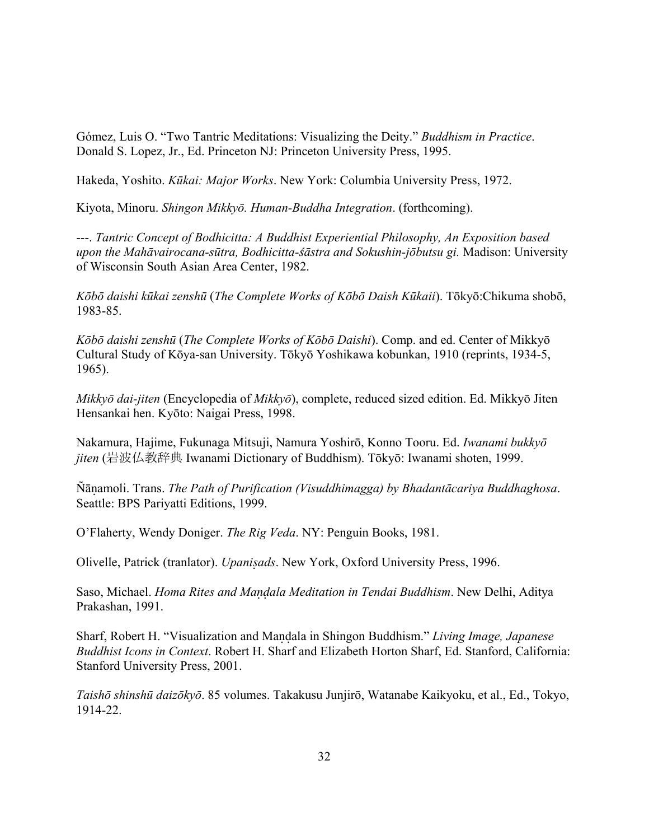Gómez, Luis O. "Two Tantric Meditations: Visualizing the Deity." *Buddhism in Practice*. Donald S. Lopez, Jr., Ed. Princeton NJ: Princeton University Press, 1995.

Hakeda, Yoshito. *Kūkai: Major Works*. New York: Columbia University Press, 1972.

Kiyota, Minoru. *Shingon Mikkyō. Human-Buddha Integration*. (forthcoming).

---. *Tantric Concept of Bodhicitta: A Buddhist Experiential Philosophy, An Exposition based upon the Mahāvairocana-sūtra, Bodhicitta-śāstra and Sokushin-jōbutsu gi.* Madison: University of Wisconsin South Asian Area Center, 1982.

*Kōbō daishi kūkai zenshū* (*The Complete Works of Kōbō Daish Kūkaii*). Tōkyō:Chikuma shobō, 1983-85.

*Kōbō daishi zenshū* (*The Complete Works of Kōbō Daishi*). Comp. and ed. Center of Mikkyō Cultural Study of Kōya-san University. Tōkyō Yoshikawa kobunkan, 1910 (reprints, 1934-5, 1965).

*Mikkyō dai-jiten* (Encyclopedia of *Mikkyō*), complete, reduced sized edition. Ed. Mikkyō Jiten Hensankai hen. Kyōto: Naigai Press, 1998.

Nakamura, Hajime, Fukunaga Mitsuji, Namura Yoshirō, Konno Tooru. Ed. *Iwanami bukkyō jiten* (岩波仏教辞典 Iwanami Dictionary of Buddhism). Tōkyō: Iwanami shoten, 1999.

"āamoli. Trans. *The Path of Purification (Visuddhimagga) by Bhadantācariya Buddhaghosa*. Seattle: BPS Pariyatti Editions, 1999.

O'Flaherty, Wendy Doniger. *The Rig Veda*. NY: Penguin Books, 1981.

Olivelle, Patrick (tranlator). *Upaniads*. New York, Oxford University Press, 1996.

Saso, Michael. *Homa Rites and Maala Meditation in Tendai Buddhism*. New Delhi, Aditya Prakashan, 1991.

Sharf, Robert H. "Visualization and Maala in Shingon Buddhism." *Living Image, Japanese Buddhist Icons in Context*. Robert H. Sharf and Elizabeth Horton Sharf, Ed. Stanford, California: Stanford University Press, 2001.

*Taishō shinshū daizōkyō*. 85 volumes. Takakusu Junjirō, Watanabe Kaikyoku, et al., Ed., Tokyo, 1914-22.